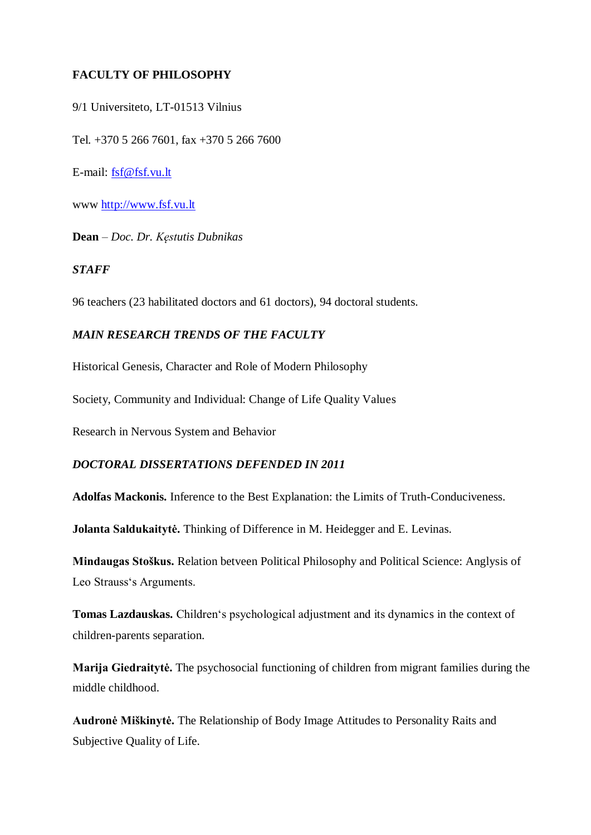### **FACULTY OF PHILOSOPHY**

9/1 Universiteto, LT-01513 Vilnius

Tel. +370 5 266 7601, fax +370 5 266 7600

E-mail: [fsf@fsf.vu.lt](mailto:fsf@fsf.vu.lt)

www [http://www.fsf.vu.lt](http://www.ff.vu.lt/)

**Dean** – *Doc. Dr. Kęstutis Dubnikas*

#### *STAFF*

96 teachers (23 habilitated doctors and 61 doctors), 94 doctoral students.

### *MAIN RESEARCH TRENDS OF THE FACULTY*

Historical Genesis, Character and Role of Modern Philosophy

Society, Community and Individual: Change of Life Quality Values

Research in Nervous System and Behavior

### *DOCTORAL DISSERTATIONS DEFENDED IN 2011*

**Adolfas Mackonis.** Inference to the Best Explanation: the Limits of Truth-Conduciveness.

**Jolanta Saldukaitytė.** Thinking of Difference in M. Heidegger and E. Levinas.

**Mindaugas Stoškus.** Relation betveen Political Philosophy and Political Science: Anglysis of Leo Strauss's Arguments.

**Tomas Lazdauskas.** Children"s psychological adjustment and its dynamics in the context of children-parents separation.

**Marija Giedraitytė.** The psychosocial functioning of children from migrant families during the middle childhood.

**Audronė Miškinytė.** The Relationship of Body Image Attitudes to Personality Raits and Subjective Quality of Life.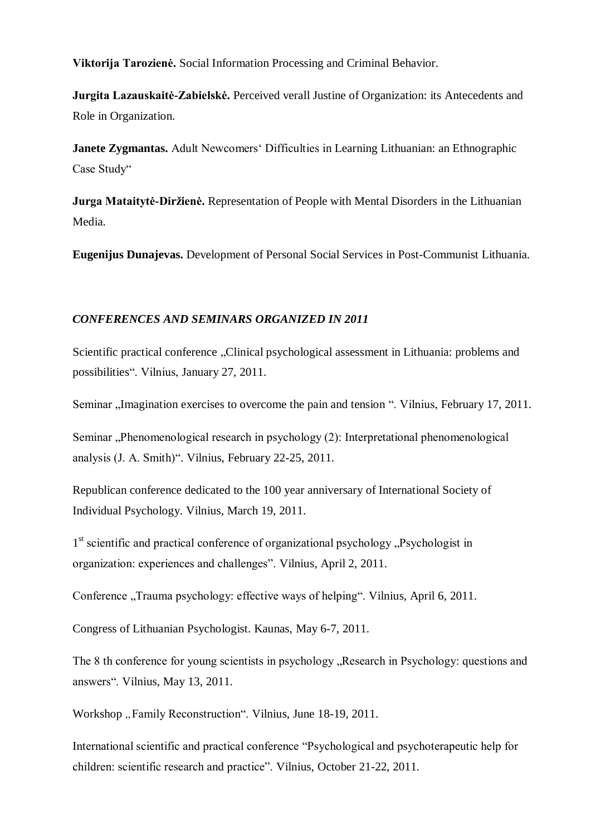**Viktorija Tarozienė.** Social Information Processing and Criminal Behavior.

**Jurgita Lazauskaitė-Zabielskė.** Perceived verall Justine of Organization: its Antecedents and Role in Organization.

**Janete Zygmantas.** Adult Newcomers' Difficulties in Learning Lithuanian: an Ethnographic Case Study"

**Jurga Mataitytė-Diržienė.** Representation of People with Mental Disorders in the Lithuanian Media.

**Eugenijus Dunajevas.** Development of Personal Social Services in Post-Communist Lithuania.

### *CONFERENCES AND SEMINARS ORGANIZED IN 2011*

Scientific practical conference "Clinical psychological assessment in Lithuania: problems and possibilities". Vilnius, January 27, 2011.

Seminar "Imagination exercises to overcome the pain and tension ". Vilnius, February 17, 2011.

Seminar "Phenomenological research in psychology (2): Interpretational phenomenological analysis (J. A. Smith)". Vilnius, February 22-25, 2011.

Republican conference dedicated to the 100 year anniversary of International Society of Individual Psychology. Vilnius, March 19, 2011.

1<sup>st</sup> scientific and practical conference of organizational psychology "Psychologist in organization: experiences and challenges". Vilnius, April 2, 2011.

Conference "Trauma psychology: effective ways of helping". Vilnius, April 6, 2011.

Congress of Lithuanian Psychologist. Kaunas, May 6-7, 2011.

The 8 th conference for young scientists in psychology . Research in Psychology: questions and answers". Vilnius, May 13, 2011.

Workshop "Family Reconstruction". Vilnius, June 18-19, 2011.

International scientific and practical conference "Psychological and psychoterapeutic help for children: scientific research and practice". Vilnius, October 21-22, 2011.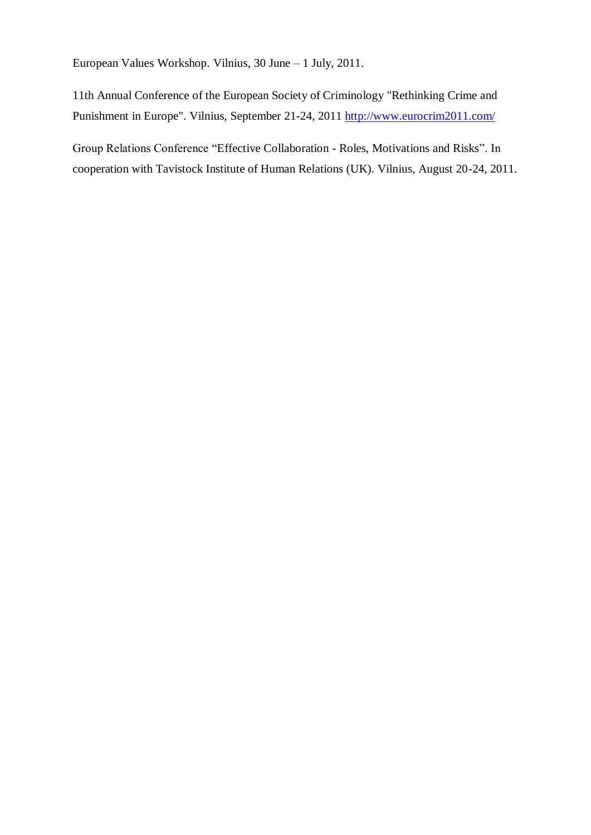European Values Workshop. Vilnius, 30 June – 1 July, 2011.

11th Annual Conference of the European Society of Criminology "Rethinking Crime and Punishment in Europe". Vilnius, September 21-24, 2011<http://www.eurocrim2011.com/>

Group Relations Conference "Effective Collaboration - Roles, Motivations and Risks". In cooperation with Tavistock Institute of Human Relations (UK). Vilnius, August 20-24, 2011.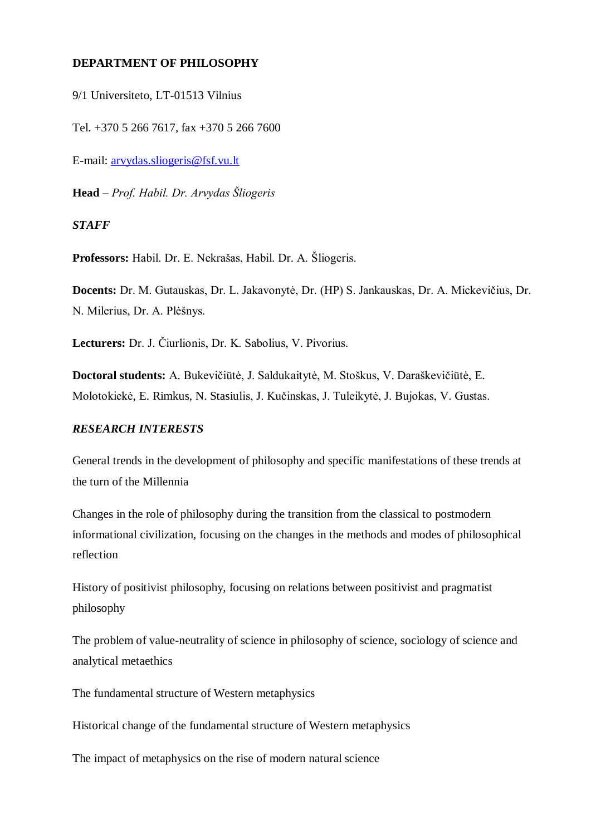#### **DEPARTMENT OF PHILOSOPHY**

9/1 Universiteto, LT-01513 Vilnius

Tel. +370 5 266 7617, fax +370 5 266 7600

E-mail: [arvydas.sliogeris@fsf.vu.lt](mailto:arvydas.sliogeris@fsf.vu.lt)

**Head** – *Prof. Habil. Dr. Arvydas Šliogeris*

*STAFF*

**Professors:** Habil. Dr. E. Nekrašas, Habil. Dr. A. Šliogeris.

**Docents:** Dr. M. Gutauskas, Dr. L. Jakavonytė, Dr. (HP) S. Jankauskas, Dr. A. Mickevičius, Dr. N. Milerius, Dr. A. Plėšnys.

**Lecturers:** Dr. J. Čiurlionis, Dr. K. Sabolius, V. Pivorius.

**Doctoral students:** A. Bukevičiūtė, J. Saldukaitytė, M. Stoškus, V. Daraškevičiūtė, E. Molotokiekė, E. Rimkus, N. Stasiulis, J. Kučinskas, J. Tuleikytė, J. Bujokas, V. Gustas.

#### *RESEARCH INTERESTS*

General trends in the development of philosophy and specific manifestations of these trends at the turn of the Millennia

Changes in the role of philosophy during the transition from the classical to postmodern informational civilization, focusing on the changes in the methods and modes of philosophical reflection

History of positivist philosophy, focusing on relations between positivist and pragmatist philosophy

The problem of value-neutrality of science in philosophy of science, sociology of science and analytical metaethics

The fundamental structure of Western metaphysics

Historical change of the fundamental structure of Western metaphysics

The impact of metaphysics on the rise of modern natural science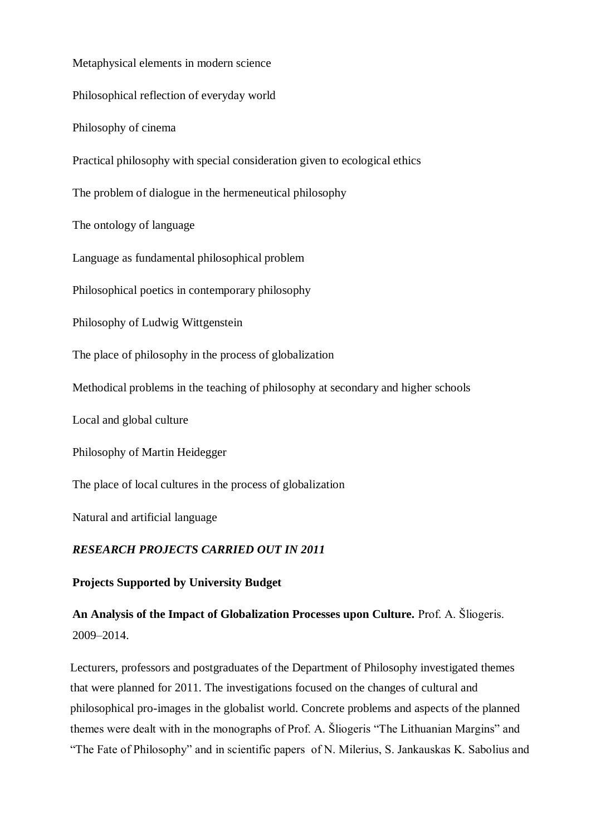Metaphysical elements in modern science

Philosophical reflection of everyday world

Philosophy of cinema

Practical philosophy with special consideration given to ecological ethics

The problem of dialogue in the hermeneutical philosophy

The ontology of language

Language as fundamental philosophical problem

Philosophical poetics in contemporary philosophy

Philosophy of Ludwig Wittgenstein

The place of philosophy in the process of globalization

Methodical problems in the teaching of philosophy at secondary and higher schools

Local and global culture

Philosophy of Martin Heidegger

The place of local cultures in the process of globalization

Natural and artificial language

#### *RESEARCH PROJECTS CARRIED OUT IN 2011*

#### **Projects Supported by University Budget**

**An Analysis of the Impact of Globalization Processes upon Culture.** Prof. A. Šliogeris. 2009–2014.

Lecturers, professors and postgraduates of the Department of Philosophy investigated themes that were planned for 2011. The investigations focused on the changes of cultural and philosophical pro-images in the globalist world. Concrete problems and aspects of the planned themes were dealt with in the monographs of Prof. A. Šliogeris "The Lithuanian Margins" and "The Fate of Philosophy" and in scientific papers of N. Milerius, S. Jankauskas K. Sabolius and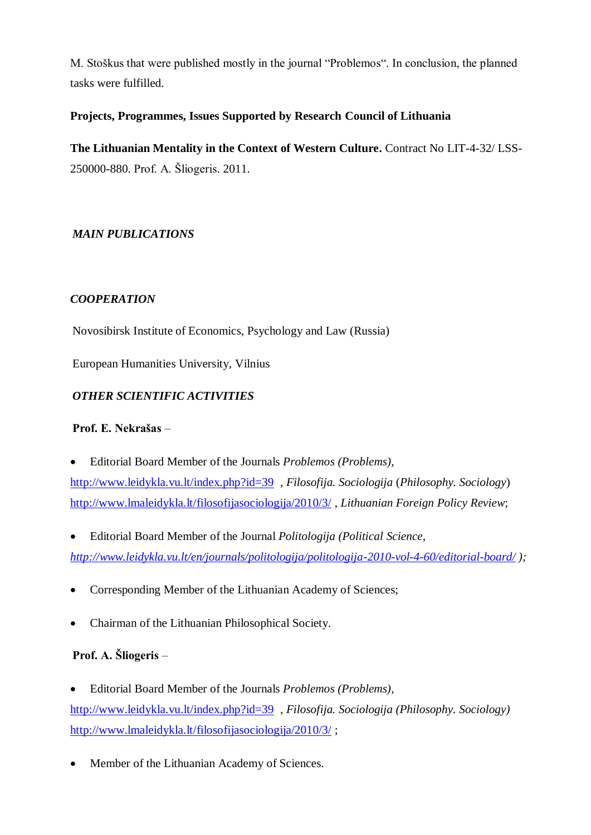M. Stoškus that were published mostly in the journal "Problemos". In conclusion, the planned tasks were fulfilled.

## **Projects, Programmes, Issues Supported by Research Council of Lithuania**

**The Lithuanian Mentality in the Context of Western Culture.** Contract No LIT-4-32/ LSS-250000-880. Prof. A. Šliogeris. 2011.

# *MAIN PUBLICATIONS*

## *COOPERATION*

Novosibirsk Institute of Economics, Psychology and Law (Russia)

European Humanities University, Vilnius

## *OTHER SCIENTIFIC ACTIVITIES*

### **Prof. E. Nekrašas** –

Editorial Board Member of the Journals *Problemos (Problems),* 

<http://www.leidykla.vu.lt/index.php?id=39> *, Filosofija. Sociologija* (*Philosophy. Sociology*) <http://www.lmaleidykla.lt/filosofijasociologija/2010/3/> , *Lithuanian Foreign Policy Review*;

- Editorial Board Member of the Journal *Politologija (Political Science, <http://www.leidykla.vu.lt/en/journals/politologija/politologija-2010-vol-4-60/editorial-board/> );*
- Corresponding Member of the Lithuanian Academy of Sciences;
- Chairman of the Lithuanian Philosophical Society.

## **Prof. A. Šliogeris** –

- Editorial Board Member of the Journals *Problemos (Problems),*  <http://www.leidykla.vu.lt/index.php?id=39> *, Filosofija. Sociologija (Philosophy. Sociology)* <http://www.lmaleidykla.lt/filosofijasociologija/2010/3/> ;
- Member of the Lithuanian Academy of Sciences.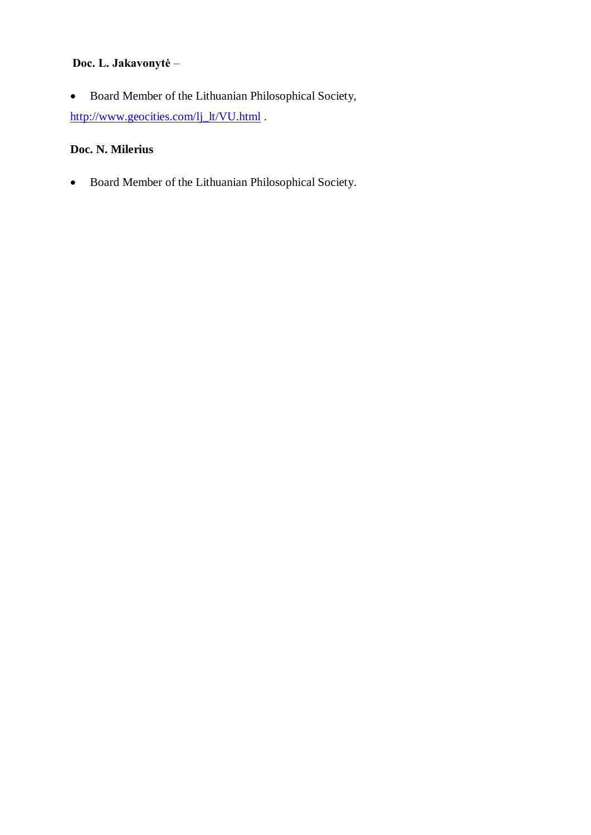## **Doc. L. Jakavonytė** –

 Board Member of the Lithuanian Philosophical Society, [http://www.geocities.com/lj\\_lt/VU.html](http://www.geocities.com/lj_lt/VU.html) .

# **Doc. N. Milerius**

Board Member of the Lithuanian Philosophical Society.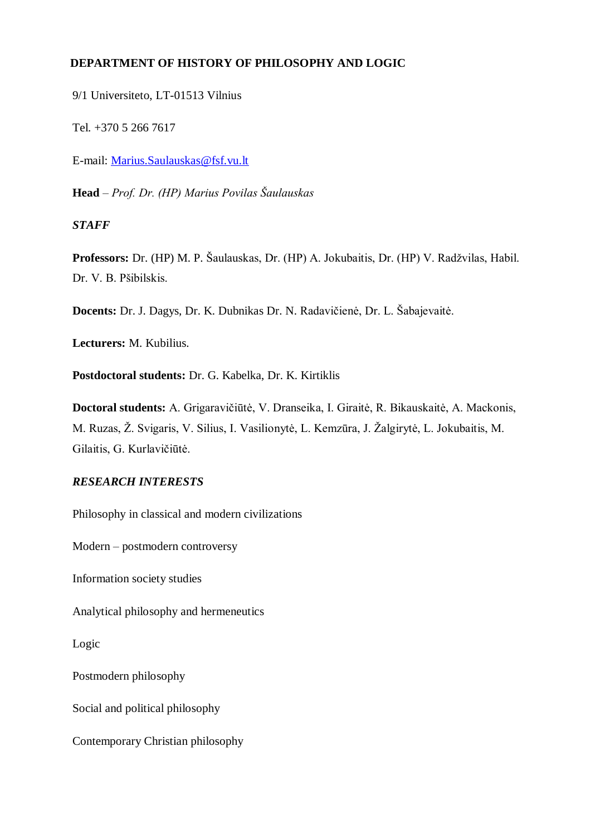### **DEPARTMENT OF HISTORY OF PHILOSOPHY AND LOGIC**

9/1 Universiteto, LT-01513 Vilnius

Tel. +370 5 266 7617

E-mail: [Marius.Saulauskas@fsf.vu.lt](mailto:Marius.Saulauskas@fsf.vu.lt)

**Head** – *Prof. Dr. (HP) Marius Povilas Šaulauskas*

*STAFF*

**Professors:** Dr. (HP) M. P. Šaulauskas, Dr. (HP) A. Jokubaitis, Dr. (HP) V. Radžvilas, Habil. Dr. V. B. Pšibilskis.

**Docents:** Dr. J. Dagys, Dr. K. Dubnikas Dr. N. Radavičienė, Dr. L. Šabajevaitė.

**Lecturers:** M. Kubilius.

**Postdoctoral students:** Dr. G. Kabelka, Dr. K. Kirtiklis

**Doctoral students:** A. Grigaravičiūtė, V. Dranseika, I. Giraitė, R. Bikauskaitė, A. Mackonis, M. Ruzas, Ž. Svigaris, V. Silius, I. Vasilionytė, L. Kemzūra, J. Žalgirytė, L. Jokubaitis, M. Gilaitis, G. Kurlavičiūtė.

## *RESEARCH INTERESTS*

Philosophy in classical and modern civilizations

Modern – postmodern controversy

Information society studies

Analytical philosophy and hermeneutics

Logic

Postmodern philosophy

Social and political philosophy

Contemporary Christian philosophy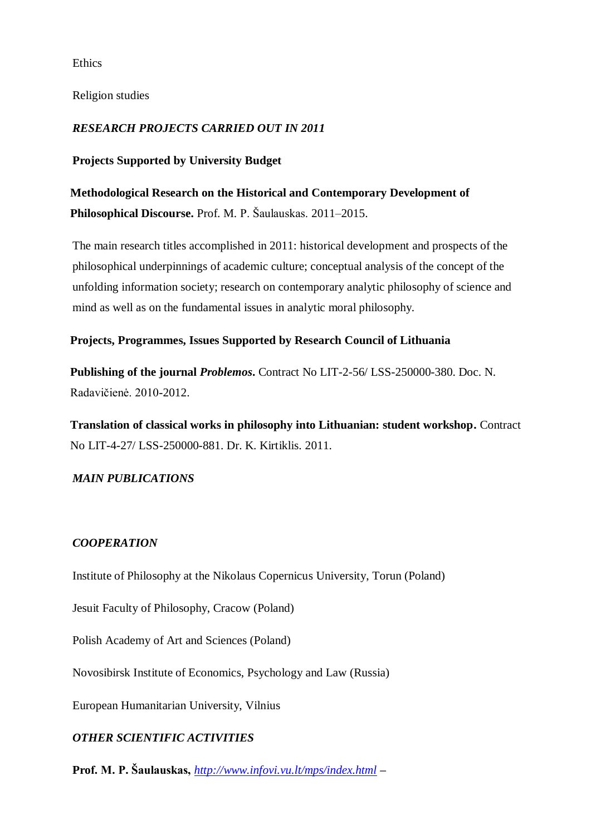Ethics

Religion studies

### *RESEARCH PROJECTS CARRIED OUT IN 2011*

### **Projects Supported by University Budget**

**Methodological Research on the Historical and Contemporary Development of Philosophical Discourse.** Prof. M. P. Šaulauskas. 2011–2015.

The main research titles accomplished in 2011: historical development and prospects of the philosophical underpinnings of academic culture; conceptual analysis of the concept of the unfolding information society; research on contemporary analytic philosophy of science and mind as well as on the fundamental issues in analytic moral philosophy.

### **Projects, Programmes, Issues Supported by Research Council of Lithuania**

**Publishing of the journal** *Problemos***.** Contract No LIT-2-56/ LSS-250000-380. Doc. N. Radavičienė. 2010-2012.

**Translation of classical works in philosophy into Lithuanian: student workshop.** Contract No LIT-4-27/ LSS-250000-881. Dr. K. Kirtiklis. 2011.

### *MAIN PUBLICATIONS*

#### *COOPERATION*

Institute of Philosophy at the Nikolaus Copernicus University, Torun (Poland)

Jesuit Faculty of Philosophy, Cracow (Poland)

Polish Academy of Art and Sciences (Poland)

Novosibirsk Institute of Economics, Psychology and Law (Russia)

European Humanitarian University, Vilnius

### *OTHER SCIENTIFIC ACTIVITIES*

**Prof. M. P. Šaulauskas,** *<http://www.infovi.vu.lt/mps/index.html> –*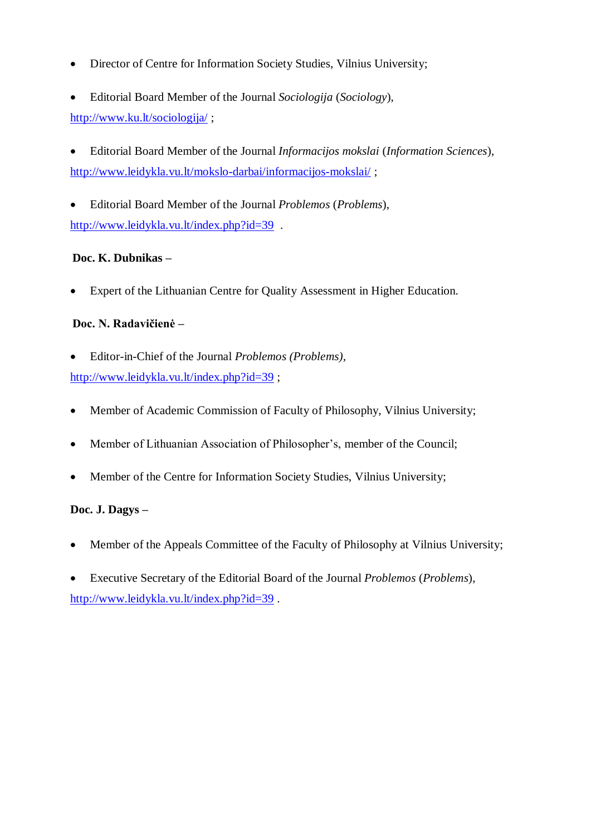- Director of Centre for Information Society Studies, Vilnius University;
- Editorial Board Member of the Journal *Sociologija* (*Sociology*), <http://www.ku.lt/sociologija/> ;
- Editorial Board Member of the Journal *Informacijos mokslai* (*Information Sciences*), <http://www.leidykla.vu.lt/mokslo-darbai/informacijos-mokslai/> ;
- Editorial Board Member of the Journal *Problemos* (*Problems*), <http://www.leidykla.vu.lt/index.php?id=39>.

## **Doc. K. Dubnikas –**

Expert of the Lithuanian Centre for Quality Assessment in Higher Education.

### **Doc. N. Radavičienė –**

- Editor-in-Chief of the Journal *Problemos (Problems),*  <http://www.leidykla.vu.lt/index.php?id=39>;
- 
- Member of Academic Commission of Faculty of Philosophy, Vilnius University;
- Member of Lithuanian Association of Philosopher's, member of the Council;
- Member of the Centre for Information Society Studies, Vilnius University;

## **Doc. J. Dagys –**

- Member of the Appeals Committee of the Faculty of Philosophy at Vilnius University;
- Executive Secretary of the Editorial Board of the Journal *Problemos* (*Problems*), <http://www.leidykla.vu.lt/index.php?id=39>.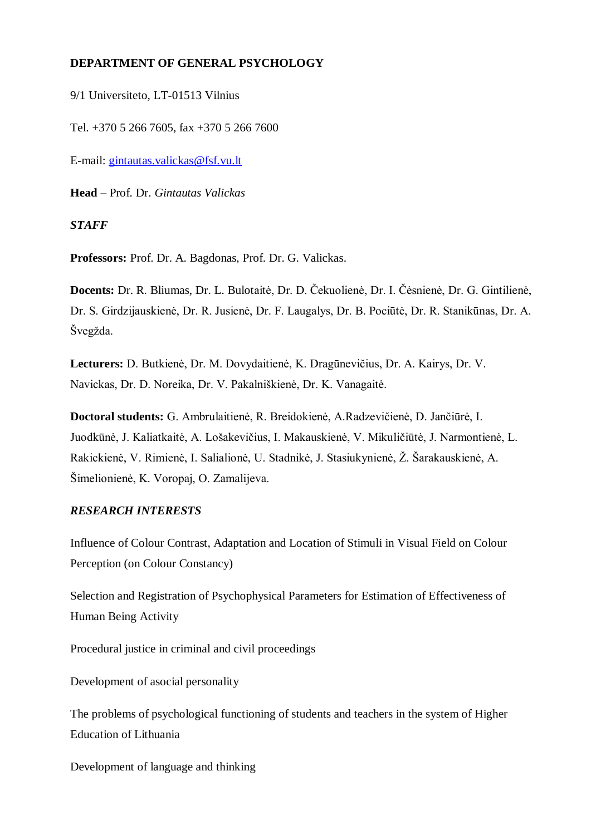### **DEPARTMENT OF GENERAL PSYCHOLOGY**

9/1 Universiteto, LT-01513 Vilnius

Tel. +370 5 266 7605, fax +370 5 266 7600

E-mail: [gintautas.valickas@fsf.vu.lt](mailto:gintautas.valickas@fsf.vu.lt)

**Head** – Prof. Dr. *Gintautas Valickas*

*STAFF*

**Professors:** Prof. Dr. A. Bagdonas, Prof. Dr. G. Valickas.

**Docents:** Dr. R. Bliumas, Dr. L. Bulotaitė, Dr. D. Čekuolienė, Dr. I. Čėsnienė, Dr. G. Gintilienė, Dr. S. Girdzijauskienė, Dr. R. Jusienė, Dr. F. Laugalys, Dr. B. Pociūtė, Dr. R. Stanikūnas, Dr. A. Švegžda.

**Lecturers:** D. Butkienė, Dr. M. Dovydaitienė, K. Dragūnevičius, Dr. A. Kairys, Dr. V. Navickas, Dr. D. Noreika, Dr. V. Pakalniškienė, Dr. K. Vanagaitė.

**Doctoral students:** G. Ambrulaitienė, R. Breidokienė, A.Radzevičienė, D. Jančiūrė, I. Juodkūnė, J. Kaliatkaitė, A. Lošakevičius, I. Makauskienė, V. Mikuličiūtė, J. Narmontienė, L. Rakickienė, V. Rimienė, I. Salialionė, U. Stadnikė, J. Stasiukynienė, Ž. Šarakauskienė, A. Šimelionienė, K. Voropaj, O. Zamalijeva.

#### *RESEARCH INTERESTS*

Influence of Colour Contrast, Adaptation and Location of Stimuli in Visual Field on Colour Perception (on Colour Constancy)

Selection and Registration of Psychophysical Parameters for Estimation of Effectiveness of Human Being Activity

Procedural justice in criminal and civil proceedings

Development of asocial personality

The problems of psychological functioning of students and teachers in the system of Higher Education of Lithuania

Development of language and thinking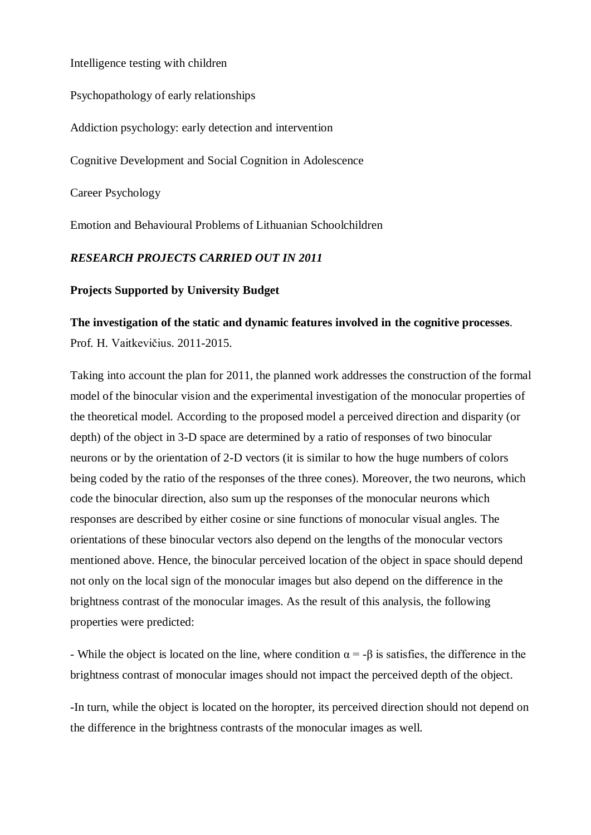Intelligence testing with children

Psychopathology of early relationships

Addiction psychology: early detection and intervention

Cognitive Development and Social Cognition in Adolescence

Career Psychology

Emotion and Behavioural Problems of Lithuanian Schoolchildren

#### *RESEARCH PROJECTS CARRIED OUT IN 2011*

#### **Projects Supported by University Budget**

#### **The investigation of the static and dynamic features involved in the cognitive processes**.

Prof. H. Vaitkevičius. 2011-2015.

Taking into account the plan for 2011, the planned work addresses the construction of the formal model of the binocular vision and the experimental investigation of the monocular properties of the theoretical model. According to the proposed model a perceived direction and disparity (or depth) of the object in 3-D space are determined by a ratio of responses of two binocular neurons or by the orientation of 2-D vectors (it is similar to how the huge numbers of colors being coded by the ratio of the responses of the three cones). Moreover, the two neurons, which code the binocular direction, also sum up the responses of the monocular neurons which responses are described by either cosine or sine functions of monocular visual angles. The orientations of these binocular vectors also depend on the lengths of the monocular vectors mentioned above. Hence, the binocular perceived location of the object in space should depend not only on the local sign of the monocular images but also depend on the difference in the brightness contrast of the monocular images. As the result of this analysis, the following properties were predicted:

- While the object is located on the line, where condition  $\alpha = -\beta$  is satisfies, the difference in the brightness contrast of monocular images should not impact the perceived depth of the object.

-In turn, while the object is located on the horopter, its perceived direction should not depend on the difference in the brightness contrasts of the monocular images as well.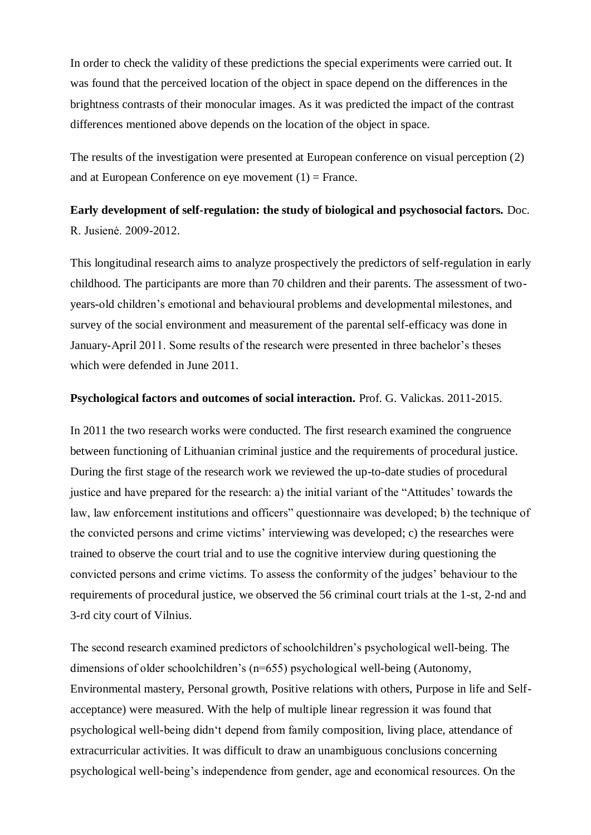In order to check the validity of these predictions the special experiments were carried out. It was found that the perceived location of the object in space depend on the differences in the brightness contrasts of their monocular images. As it was predicted the impact of the contrast differences mentioned above depends on the location of the object in space.

The results of the investigation were presented at European conference on visual perception (2) and at European Conference on eye movement  $(1)$  = France.

# **Early development of self-regulation: the study of biological and psychosocial factors.** Doc. R. Jusienė. 2009-2012.

This longitudinal research aims to analyze prospectively the predictors of self-regulation in early childhood. The participants are more than 70 children and their parents. The assessment of twoyears-old children"s emotional and behavioural problems and developmental milestones, and survey of the social environment and measurement of the parental self-efficacy was done in January-April 2011. Some results of the research were presented in three bachelor"s theses which were defended in June 2011.

#### **Psychological factors and outcomes of social interaction.** Prof. G. Valickas. 2011-2015.

In 2011 the two research works were conducted. The first research examined the congruence between functioning of Lithuanian criminal justice and the requirements of procedural justice. During the first stage of the research work we reviewed the up-to-date studies of procedural justice and have prepared for the research: a) the initial variant of the "Attitudes' towards the law, law enforcement institutions and officers" questionnaire was developed; b) the technique of the convicted persons and crime victims" interviewing was developed; c) the researches were trained to observe the court trial and to use the cognitive interview during questioning the convicted persons and crime victims. To assess the conformity of the judges" behaviour to the requirements of procedural justice, we observed the 56 criminal court trials at the 1-st, 2-nd and 3-rd city court of Vilnius.

The second research examined predictors of schoolchildren"s psychological well-being. The dimensions of older schoolchildren's (n=655) psychological well-being (Autonomy, Environmental mastery, Personal growth, Positive relations with others, Purpose in life and Selfacceptance) were measured. With the help of multiple linear regression it was found that psychological well-being didn"t depend from family composition, living place, attendance of extracurricular activities. It was difficult to draw an unambiguous conclusions concerning psychological well-being"s independence from gender, age and economical resources. On the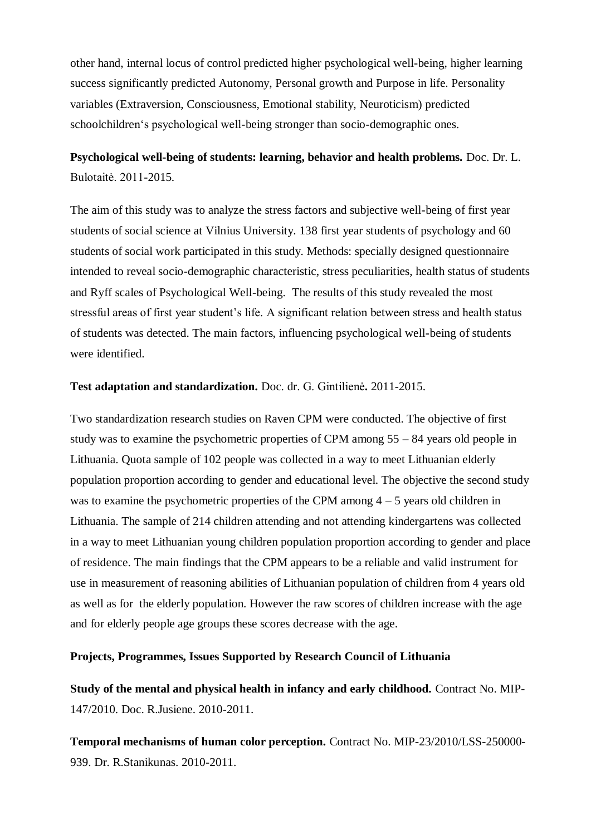other hand, internal locus of control predicted higher psychological well-being, higher learning success significantly predicted Autonomy, Personal growth and Purpose in life. Personality variables (Extraversion, Consciousness, Emotional stability, Neuroticism) predicted schoolchildren"s psychological well-being stronger than socio-demographic ones.

# **Psychological well-being of students: learning, behavior and health problems.** Doc. Dr. L. Bulotaitė. 2011-2015.

The aim of this study was to analyze the stress factors and subjective well-being of first year students of social science at Vilnius University. 138 first year students of psychology and 60 students of social work participated in this study. Methods: specially designed questionnaire intended to reveal socio-demographic characteristic, stress peculiarities, health status of students and Ryff scales of Psychological Well-being. The results of this study revealed the most stressful areas of first year student"s life. A significant relation between stress and health status of students was detected. The main factors, influencing psychological well-being of students were identified.

#### **Test adaptation and standardization.** Doc. dr. G. Gintilienė**.** 2011-2015.

Two standardization research studies on Raven CPM were conducted. The objective of first study was to examine the psychometric properties of CPM among 55 – 84 years old people in Lithuania. Quota sample of 102 people was collected in a way to meet Lithuanian elderly population proportion according to gender and educational level. The objective the second study was to examine the psychometric properties of the CPM among  $4 - 5$  years old children in Lithuania. The sample of 214 children attending and not attending kindergartens was collected in a way to meet Lithuanian young children population proportion according to gender and place of residence. The main findings that the CPM appears to be a reliable and valid instrument for use in measurement of reasoning abilities of Lithuanian population of children from 4 years old as well as for the elderly population. However the raw scores of children increase with the age and for elderly people age groups these scores decrease with the age.

#### **Projects, Programmes, Issues Supported by Research Council of Lithuania**

**Study of the mental and physical health in infancy and early childhood.** Contract No. MIP-147/2010. Doc. R.Jusiene. 2010-2011.

**Temporal mechanisms of human color perception.** Contract No. MIP-23/2010/LSS-250000- 939. Dr. R.Stanikunas. 2010-2011.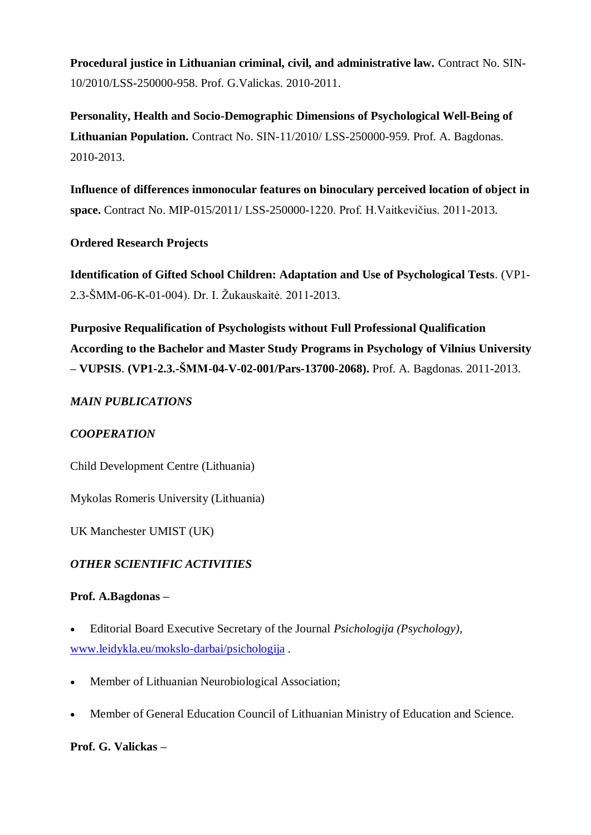**Procedural justice in Lithuanian criminal, civil, and administrative law.** Contract No. SIN-10/2010/LSS-250000-958. Prof. G.Valickas. 2010-2011.

**Personality, Health and Socio-Demographic Dimensions of Psychological Well-Being of Lithuanian Population.** Contract No. SIN-11/2010/ LSS-250000-959. Prof. A. Bagdonas. 2010-2013.

**Influence of differences inmonocular features on binoculary perceived location of object in space.** Contract No. MIP-015/2011/ LSS-250000-1220. Prof. H.Vaitkevičius. 2011-2013.

### **Ordered Research Projects**

**Identification of Gifted School Children: Adaptation and Use of Psychological Tests**. (VP1- 2.3-ŠMM-06-K-01-004). Dr. I. Žukauskaitė. 2011-2013.

**Purposive Requalification of Psychologists without Full Professional Qualification According to the Bachelor and Master Study Programs in Psychology of Vilnius University – VUPSIS**. **(VP1-2.3.-ŠMM-04-V-02-001/Pars-13700-2068).** Prof. A. Bagdonas. 2011-2013.

### *MAIN PUBLICATIONS*

## *COOPERATION*

Child Development Centre (Lithuania)

Mykolas Romeris University (Lithuania)

UK Manchester UMIST (UK)

### *OTHER SCIENTIFIC ACTIVITIES*

### **Prof. A.Bagdonas –**

- Editorial Board Executive Secretary of the Journal *Psichologija (Psychology),*  [www.leidykla.eu/mokslo-darbai/psichologija](http://www.leidykla.eu/mokslo-darbai/psichologija) *.*
- Member of Lithuanian Neurobiological Association;
- Member of General Education Council of Lithuanian Ministry of Education and Science.

### **Prof. G. Valickas –**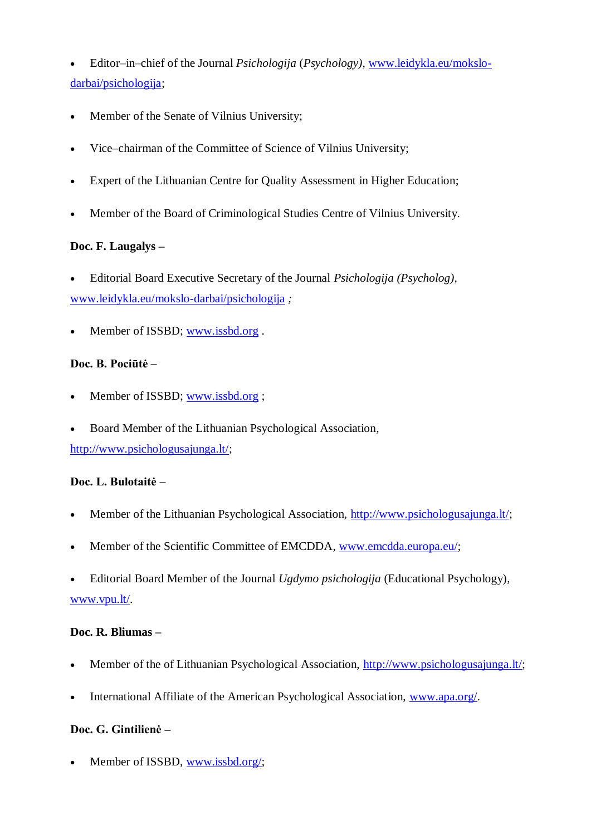Editor–in–chief of the Journal *Psichologija* (*Psychology),* [www.leidykla.eu/mokslo](http://www.leidykla.eu/mokslo-darbai/psichologija)[darbai/psichologija;](http://www.leidykla.eu/mokslo-darbai/psichologija)

- Member of the Senate of Vilnius University;
- Vice–chairman of the Committee of Science of Vilnius University;
- Expert of the Lithuanian Centre for Quality Assessment in Higher Education;
- Member of the Board of Criminological Studies Centre of Vilnius University.

### **Doc. F. Laugalys –**

- Editorial Board Executive Secretary of the Journal *Psichologija (Psycholog),*  [www.leidykla.eu/mokslo-darbai/psichologija](http://www.leidykla.eu/mokslo-darbai/psichologija) *;*
- Member of ISSBD; [www.issbd.org](http://www.issbd.org/).

### **Doc. B. Pociūtė –**

- Member of ISSBD; [www.issbd.org](http://www.issbd.org/) ;
- Board Member of the Lithuanian Psychological Association,

[http://www.psichologusajunga.lt/;](http://www.psichologusajunga.lt/)

### **Doc. L. Bulotaitė –**

- Member of the Lithuanian Psychological Association, [http://www.psichologusajunga.lt/;](http://www.psichologusajunga.lt/)
- Member of the Scientific Committee of EMCDDA, [www.emcdda.europa.eu/;](http://www.emcdda.europa.eu/)
- Editorial Board Member of the Journal *Ugdymo psichologija* (Educational Psychology), [www.vpu.lt/.](http://www.vpu.lt/)

### **Doc. R. Bliumas –**

- Member of the of Lithuanian Psychological Association, [http://www.psichologusajunga.lt/;](http://www.psichologusajunga.lt/)
- International Affiliate of the American Psychological Association, [www.apa.org/.](http://www.apa.org/)

### **Doc. G. Gintilienė –**

Member of ISSBD, [www.issbd.org/;](http://www.issbd.org/)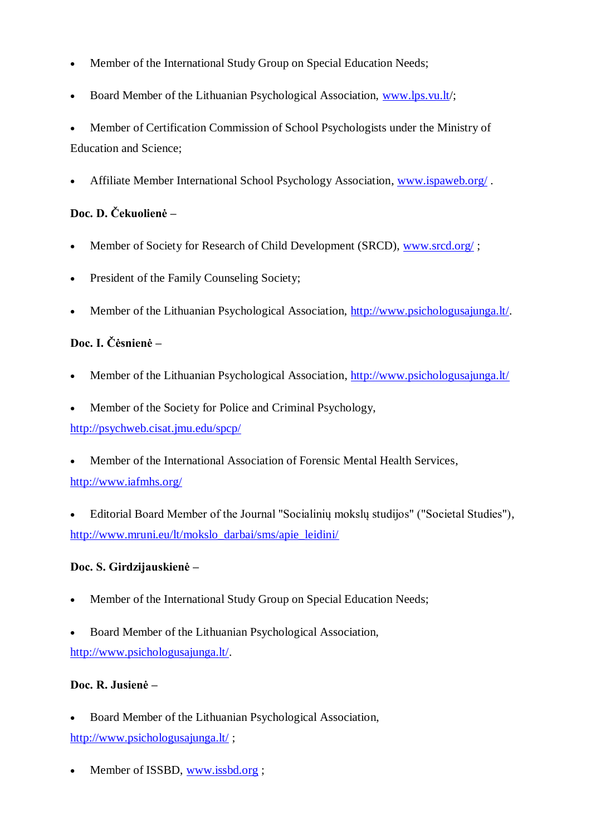- Member of the International Study Group on Special Education Needs;
- Board Member of the Lithuanian Psychological Association, [www.lps.vu.lt/](http://www.lps.vu.lt/);

 Member of Certification Commission of School Psychologists under the Ministry of Education and Science;

Affiliate Member International School Psychology Association, [www.ispaweb.org/](http://www.ispaweb.org/) .

# **Doc. D. Čekuolienė –**

- Member of Society for Research of Child Development (SRCD), [www.srcd.org/](http://www.srcd.org/);
- President of the Family Counseling Society:
- Member of the Lithuanian Psychological Association, [http://www.psichologusajunga.lt/.](http://www.psichologusajunga.lt/)

# **Doc. I. Čėsnienė –**

- Member of the Lithuanian Psychological Association, <http://www.psichologusajunga.lt/>
- Member of the Society for Police and Criminal Psychology,

<http://psychweb.cisat.jmu.edu/spcp/>

- Member of the International Association of Forensic Mental Health Services, <http://www.iafmhs.org/>
- Editorial Board Member of the Journal "Socialinių mokslų studijos" ("Societal Studies"), [http://www.mruni.eu/lt/mokslo\\_darbai/sms/apie\\_leidini/](http://www.mruni.eu/lt/mokslo_darbai/sms/apie_leidini/)

## **Doc. S. Girdzijauskienė –**

- Member of the International Study Group on Special Education Needs;
- Board Member of the Lithuanian Psychological Association, [http://www.psichologusajunga.lt/.](http://www.psichologusajunga.lt/)

## **Doc. R. Jusienė –**

- Board Member of the Lithuanian Psychological Association, <http://www.psichologusajunga.lt/> ;
- Member of ISSBD, [www.issbd.org](http://www.issbd.org/) ;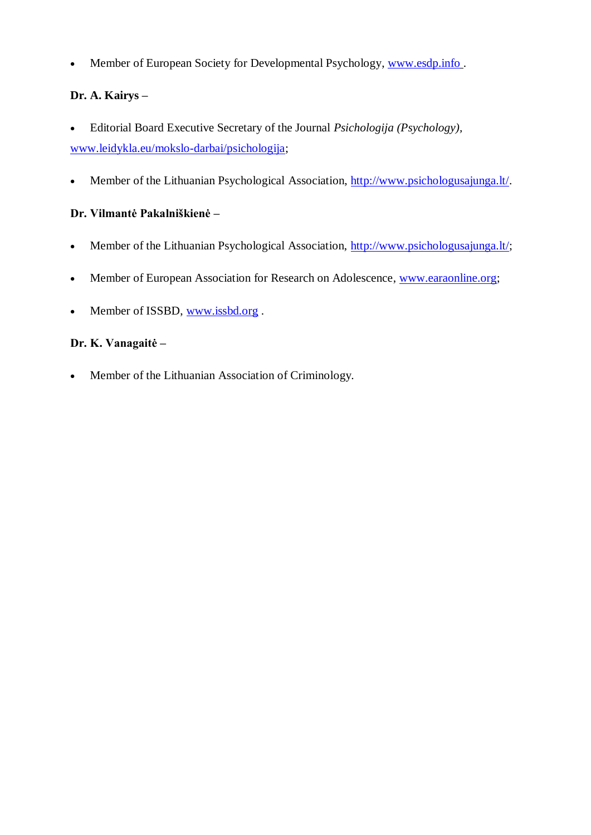• Member of European Society for Developmental Psychology, [www.esdp.info](http://www.esdp.info/).

# **Dr. A. Kairys –**

- Editorial Board Executive Secretary of the Journal *Psichologija (Psychology),*  [www.leidykla.eu/mokslo-darbai/psichologija;](http://www.leidykla.eu/mokslo-darbai/psichologija)
- Member of the Lithuanian Psychological Association, [http://www.psichologusajunga.lt/.](http://www.psichologusajunga.lt/)

## **Dr. Vilmantė Pakalniškienė –**

- Member of the Lithuanian Psychological Association, [http://www.psichologusajunga.lt/;](http://www.psichologusajunga.lt/)
- Member of European Association for Research on Adolescence, [www.earaonline.org;](http://www.earaonline.org/)
- Member of ISSBD, [www.issbd.org](http://www.issbd.org/).

## **Dr. K. Vanagaitė –**

Member of the Lithuanian Association of Criminology.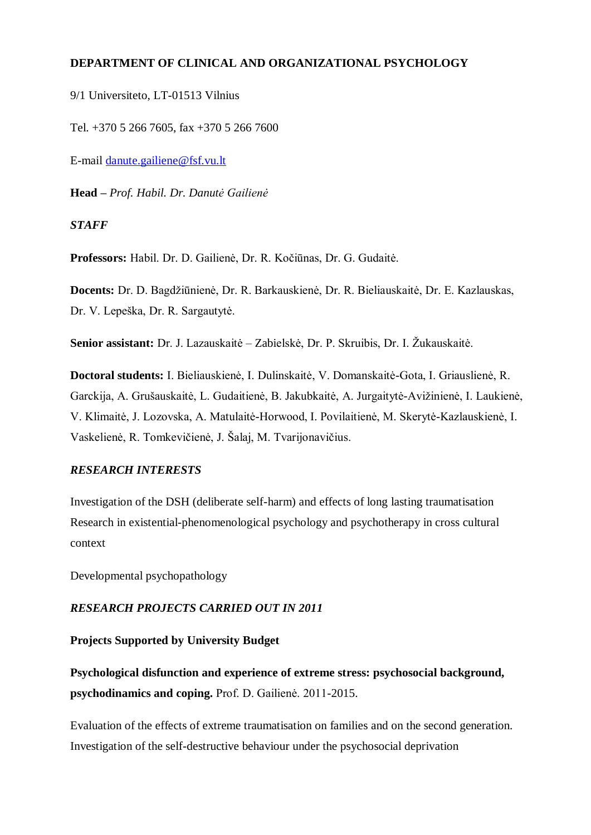### **DEPARTMENT OF CLINICAL AND ORGANIZATIONAL PSYCHOLOGY**

9/1 Universiteto, LT-01513 Vilnius

Tel. +370 5 266 7605, fax +370 5 266 7600

E-mail [danute.gailiene@fsf.vu.lt](mailto:danute.gailiene@fsf.vu.lt)

**Head –** *Prof. Habil. Dr. Danutė Gailienė*

#### *STAFF*

**Professors:** Habil. Dr. D. Gailienė, Dr. R. Kočiūnas, Dr. G. Gudaitė.

**Docents:** Dr. D. Bagdžiūnienė, Dr. R. Barkauskienė, Dr. R. Bieliauskaitė, Dr. E. Kazlauskas, Dr. V. Lepeška, Dr. R. Sargautytė.

**Senior assistant:** Dr. J. Lazauskaitė – Zabielskė, Dr. P. Skruibis, Dr. I. Žukauskaitė.

**Doctoral students:** I. Bieliauskienė, I. Dulinskaitė, V. Domanskaitė-Gota, I. Griauslienė, R. Garckija, A. Grušauskaitė, L. Gudaitienė, B. Jakubkaitė, A. Jurgaitytė-Avižinienė, I. Laukienė, V. Klimaitė, J. Lozovska, A. Matulaitė-Horwood, I. Povilaitienė, M. Skerytė-Kazlauskienė, I. Vaskelienė, R. Tomkevičienė, J. Šalaj, M. Tvarijonavičius.

### *RESEARCH INTERESTS*

Investigation of the DSH (deliberate self-harm) and effects of long lasting traumatisation Research in existential-phenomenological psychology and psychotherapy in cross cultural context

Developmental psychopathology

### *RESEARCH PROJECTS CARRIED OUT IN 2011*

#### **Projects Supported by University Budget**

**Psychological disfunction and experience of extreme stress: psychosocial background, psychodinamics and coping.** Prof. D. Gailienė. 2011-2015.

Evaluation of the effects of extreme traumatisation on families and on the second generation. Investigation of the self-destructive behaviour under the psychosocial deprivation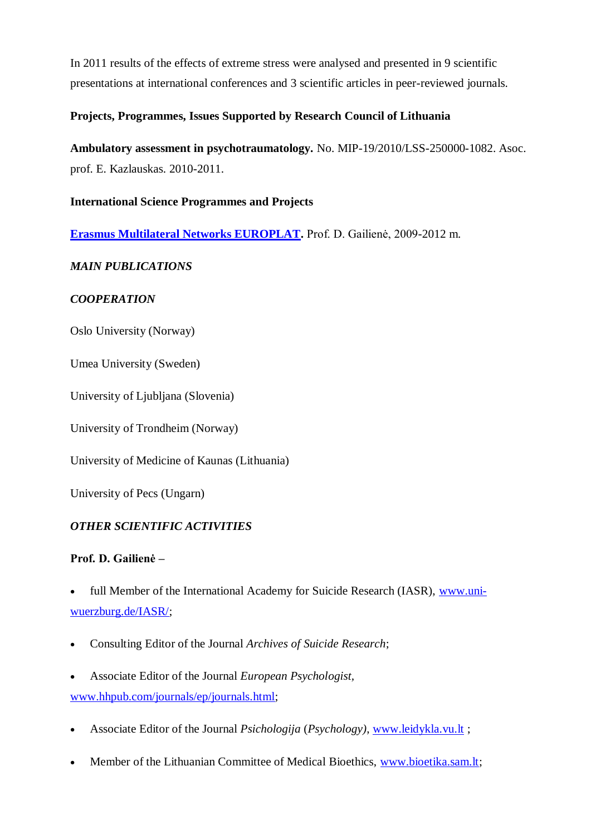In 2011 results of the effects of extreme stress were analysed and presented in 9 scientific presentations at international conferences and 3 scientific articles in peer-reviewed journals.

## **Projects, Programmes, Issues Supported by Research Council of Lithuania**

**Ambulatory assessment in psychotraumatology.** No. MIP-19/2010/LSS-250000-1082. Asoc. prof. E. Kazlauskas. 2010-2011.

## **International Science Programmes and Projects**

**[Erasmus Multilateral Networks EUROPLAT.](http://www.europlat.org/)** Prof. D. Gailienė, 2009-2012 m.

# *MAIN PUBLICATIONS*

## *COOPERATION*

Oslo University (Norway)

Umea University (Sweden)

University of Ljubljana (Slovenia)

University of Trondheim (Norway)

University of Medicine of Kaunas (Lithuania)

University of Pecs (Ungarn)

## *OTHER SCIENTIFIC ACTIVITIES*

## **Prof. D. Gailienė –**

 full Member of the International Academy for Suicide Research (IASR), [www.uni](http://www.uni-wuerzburg.de/IASR/)[wuerzburg.de/IASR/;](http://www.uni-wuerzburg.de/IASR/)

- Consulting Editor of the Journal *Archives of Suicide Research*;
- Associate Editor of the Journal *European Psychologist,* [www.hhpub.com/journals/ep/journals.html;](http://www.hhpub.com/journals/ep/journals.html)
- Associate Editor of the Journal *Psichologija* (*Psychology)*, [www.leidykla.vu.lt](http://www.leidykla.vu.lt/) ;
- Member of the Lithuanian Committee of Medical Bioethics, [www.bioetika.sam.lt;](http://www.bioetika.sam.lt/)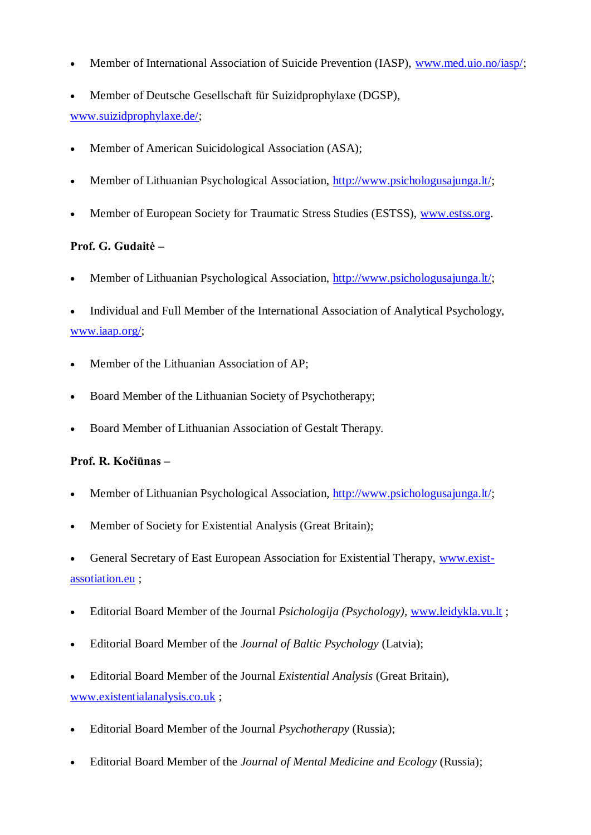- Member of International Association of Suicide Prevention (IASP), [www.med.uio.no/iasp/;](http://www.med.uio.no/iasp/)
- Member of Deutsche Gesellschaft für Suizidprophylaxe (DGSP), [www.suizidprophylaxe.de/;](http://www.suizidprophylaxe.de/)
- Member of American Suicidological Association (ASA);
- Member of Lithuanian Psychological Association, [http://www.psichologusajunga.lt/;](http://www.psichologusajunga.lt/)
- Member of European Society for Traumatic Stress Studies (ESTSS), [www.estss.org.](http://www.estss.org/)

### **Prof. G. Gudaitė –**

- Member of Lithuanian Psychological Association, [http://www.psichologusajunga.lt/;](http://www.psichologusajunga.lt/)
- Individual and Full Member of the International Association of Analytical Psychology, [www.iaap.org/;](http://www.iaap.org/)
- Member of the Lithuanian Association of AP;
- Board Member of the Lithuanian Society of Psychotherapy;
- Board Member of Lithuanian Association of Gestalt Therapy.

### **Prof. R. Kočiūnas –**

- Member of Lithuanian Psychological Association, [http://www.psichologusajunga.lt/;](http://www.psichologusajunga.lt/)
- Member of Society for Existential Analysis (Great Britain);
- General Secretary of East European Association for Existential Therapy, [www.exist](http://www.exist-assotiation.eu/)[assotiation.eu](http://www.exist-assotiation.eu/) ;
- Editorial Board Member of the Journal *Psichologija (Psychology),* [www.leidykla.vu.lt](http://www.leidykla.vu.lt/) ;
- Editorial Board Member of the *Journal of Baltic Psychology* (Latvia);
- Editorial Board Member of the Journal *Existential Analysis* (Great Britain), [www.existentialanalysis.co.uk](http://www.existentialanalysis.co.uk/) ;
- Editorial Board Member of the Journal *Psychotherapy* (Russia);
- Editorial Board Member of the *Journal of Mental Medicine and Ecology* (Russia);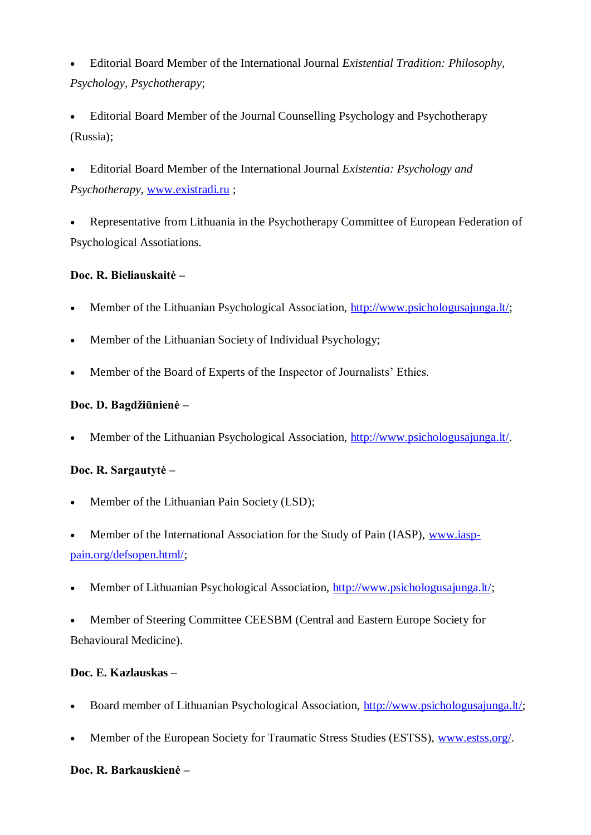Editorial Board Member of the International Journal *Existential Tradition: Philosophy, Psychology, Psychotherapy*;

 Editorial Board Member of the Journal Counselling Psychology and Psychotherapy (Russia);

 Editorial Board Member of the International Journal *Existentia: Psychology and Psychotherapy,* [www.existradi.ru](http://www.existradi.ru/) ;

 Representative from Lithuania in the Psychotherapy Committee of European Federation of Psychological Assotiations.

### **Doc. R. Bieliauskaitė –**

- Member of the Lithuanian Psychological Association, [http://www.psichologusajunga.lt/;](http://www.psichologusajunga.lt/)
- Member of the Lithuanian Society of Individual Psychology;
- Member of the Board of Experts of the Inspector of Journalists' Ethics.

### Doc. D. Bagdžiūnienė –

Member of the Lithuanian Psychological Association, [http://www.psichologusajunga.lt/.](http://www.psichologusajunga.lt/)

## **Doc. R. Sargautytė –**

- Member of the Lithuanian Pain Society (LSD);
- Member of the International Association for the Study of Pain (IASP), [www.iasp](http://www.iasp-pain.org/defsopen.html/)[pain.org/defsopen.html/;](http://www.iasp-pain.org/defsopen.html/)
- Member of Lithuanian Psychological Association, [http://www.psichologusajunga.lt/;](http://www.psichologusajunga.lt/)
- Member of Steering Committee CEESBM (Central and Eastern Europe Society for Behavioural Medicine).

### **Doc. E. Kazlauskas –**

- Board member of Lithuanian Psychological Association, [http://www.psichologusajunga.lt/;](http://www.psichologusajunga.lt/)
- Member of the European Society for Traumatic Stress Studies (ESTSS), [www.estss.org/.](http://www.estss.org/)

### **Doc. R. Barkauskienė –**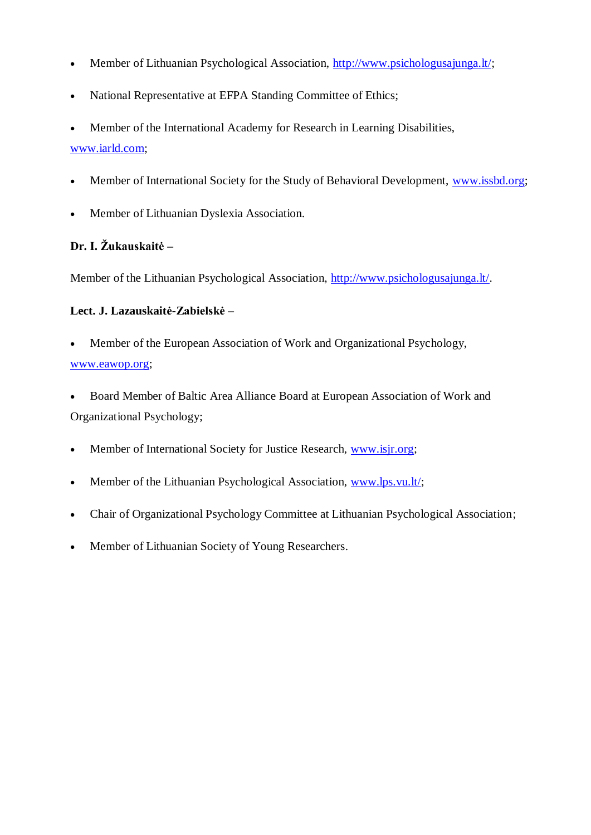- Member of Lithuanian Psychological Association, [http://www.psichologusajunga.lt/;](http://www.psichologusajunga.lt/)
- National Representative at EFPA Standing Committee of Ethics;
- Member of the International Academy for Research in Learning Disabilities, [www.iarld.com;](http://www.iarld.com/)
- Member of International Society for the Study of Behavioral Development, [www.issbd.org;](http://www.issbd.org/)
- Member of Lithuanian Dyslexia Association.

## Dr. I. Žukauskaitė –

Member of the Lithuanian Psychological Association, [http://www.psichologusajunga.lt/.](http://www.psichologusajunga.lt/)

### **Lect. J. Lazauskaitė-Zabielskė –**

- Member of the European Association of Work and Organizational Psychology, [www.eawop.org;](http://www.eawop.org/)
- Board Member of Baltic Area Alliance Board at European Association of Work and Organizational Psychology;
- Member of International Society for Justice Research, [www.isjr.org;](http://www.isjr.org/)
- Member of the Lithuanian Psychological Association, [www.lps.vu.lt/;](http://www.lps.vu.lt/)
- Chair of Organizational Psychology Committee at Lithuanian Psychological Association;
- Member of Lithuanian Society of Young Researchers.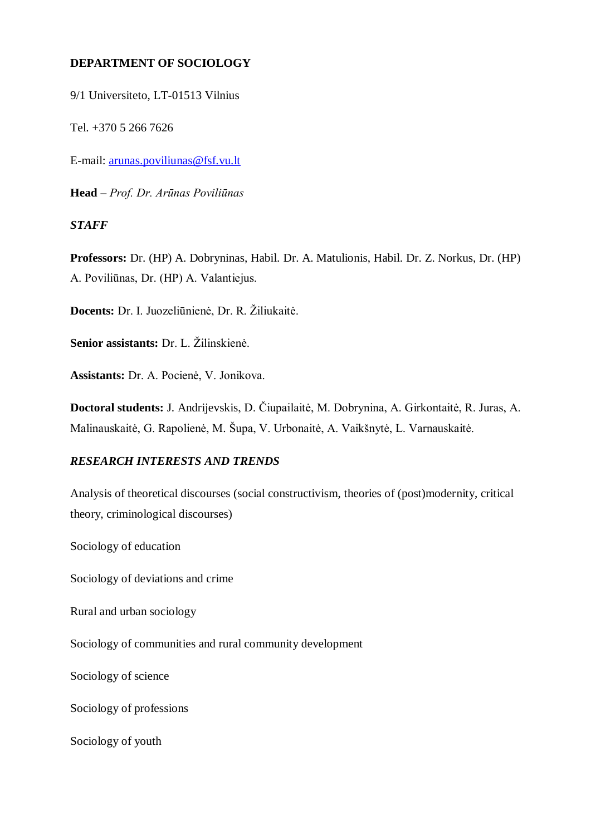### **DEPARTMENT OF SOCIOLOGY**

9/1 Universiteto, LT-01513 Vilnius

Tel. +370 5 266 7626

E-mail: [arunas.poviliunas@fsf.vu.lt](mailto:arunas.poviliunas@fsf.vu.lt)

**Head** – *Prof. Dr. Arūnas Poviliūnas*

#### *STAFF*

**Professors:** Dr. (HP) A. Dobryninas, Habil. Dr. A. Matulionis, Habil. Dr. Z. Norkus, Dr. (HP) A. Poviliūnas, Dr. (HP) A. Valantiejus.

**Docents:** Dr. I. Juozeliūnienė, Dr. R. Žiliukaitė.

**Senior assistants:** Dr. L. Žilinskienė.

**Assistants:** Dr. A. Pocienė, V. Jonikova.

**Doctoral students:** J. Andrijevskis, D. Čiupailaitė, M. Dobrynina, A. Girkontaitė, R. Juras, A. Malinauskaitė, G. Rapolienė, M. Šupa, V. Urbonaitė, A. Vaikšnytė, L. Varnauskaitė.

### *RESEARCH INTERESTS AND TRENDS*

Analysis of theoretical discourses (social constructivism, theories of (post)modernity, critical theory, criminological discourses)

Sociology of education

Sociology of deviations and crime

Rural and urban sociology

Sociology of communities and rural community development

Sociology of science

Sociology of professions

Sociology of youth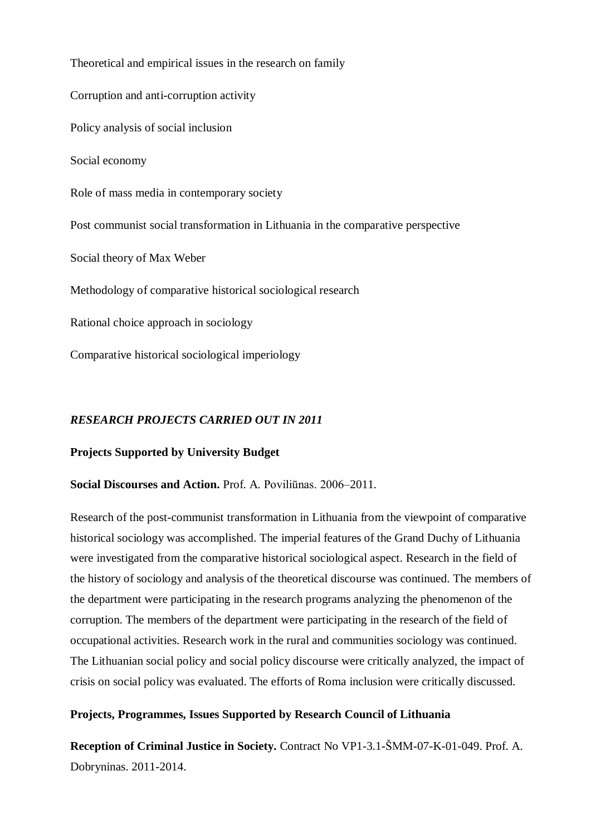Theoretical and empirical issues in the research on family Corruption and anti-corruption activity Policy analysis of social inclusion Social economy Role of mass media in contemporary society Post communist social transformation in Lithuania in the comparative perspective Social theory of Max Weber Methodology of comparative historical sociological research Rational choice approach in sociology Comparative historical sociological imperiology

### *RESEARCH PROJECTS CARRIED OUT IN 2011*

#### **Projects Supported by University Budget**

#### **Social Discourses and Action.** Prof. A. Poviliūnas. 2006–2011.

Research of the post-communist transformation in Lithuania from the viewpoint of comparative historical sociology was accomplished. The imperial features of the Grand Duchy of Lithuania were investigated from the comparative historical sociological aspect. Research in the field of the history of sociology and analysis of the theoretical discourse was continued. The members of the department were participating in the research programs analyzing the phenomenon of the corruption. The members of the department were participating in the research of the field of occupational activities. Research work in the rural and communities sociology was continued. The Lithuanian social policy and social policy discourse were critically analyzed, the impact of crisis on social policy was evaluated. The efforts of Roma inclusion were critically discussed.

#### **Projects, Programmes, Issues Supported by Research Council of Lithuania**

**Reception of Criminal Justice in Society.** Contract No VP1-3.1-ŠMM-07-K-01-049. Prof. A. Dobryninas. 2011-2014.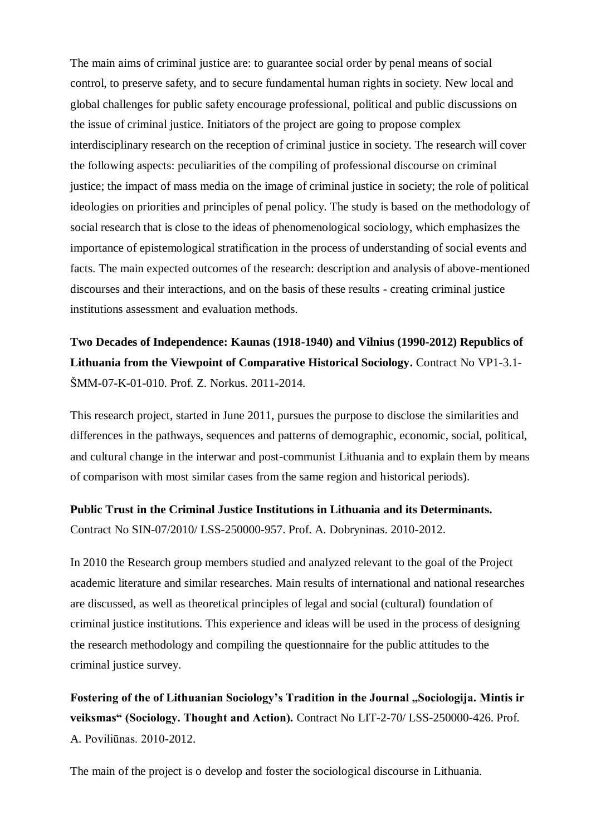The main aims of criminal justice are: to guarantee social order by penal means of social control, to preserve safety, and to secure fundamental human rights in society. New local and global challenges for public safety encourage professional, political and public discussions on the issue of criminal justice. Initiators of the project are going to propose complex interdisciplinary research on the reception of criminal justice in society. The research will cover the following aspects: peculiarities of the compiling of professional discourse on criminal justice; the impact of mass media on the image of criminal justice in society; the role of political ideologies on priorities and principles of penal policy. The study is based on the methodology of social research that is close to the ideas of phenomenological sociology, which emphasizes the importance of epistemological stratification in the process of understanding of social events and facts. The main expected outcomes of the research: description and analysis of above-mentioned discourses and their interactions, and on the basis of these results - creating criminal justice institutions assessment and evaluation methods.

**Two Decades of Independence: Kaunas (1918-1940) and Vilnius (1990-2012) Republics of Lithuania from the Viewpoint of Comparative Historical Sociology.** Contract No VP1-3.1- ŠMM-07-K-01-010. Prof. Z. Norkus. 2011-2014.

This research project, started in June 2011, pursues the purpose to disclose the similarities and differences in the pathways, sequences and patterns of demographic, economic, social, political, and cultural change in the interwar and post-communist Lithuania and to explain them by means of comparison with most similar cases from the same region and historical periods).

**Public Trust in the Criminal Justice Institutions in Lithuania and its Determinants.** Contract No SIN-07/2010/ LSS-250000-957. Prof. A. Dobryninas. 2010-2012.

In 2010 the Research group members studied and analyzed relevant to the goal of the Project academic literature and similar researches. Main results of international and national researches are discussed, as well as theoretical principles of legal and social (cultural) foundation of criminal justice institutions. This experience and ideas will be used in the process of designing the research methodology and compiling the questionnaire for the public attitudes to the criminal justice survey.

Fostering of the of Lithuanian Sociology's Tradition in the Journal "Sociologija. Mintis ir **veiksmas" (Sociology. Thought and Action).** Contract No LIT-2-70/ LSS-250000-426. Prof. A. Poviliūnas. 2010-2012.

The main of the project is o develop and foster the sociological discourse in Lithuania.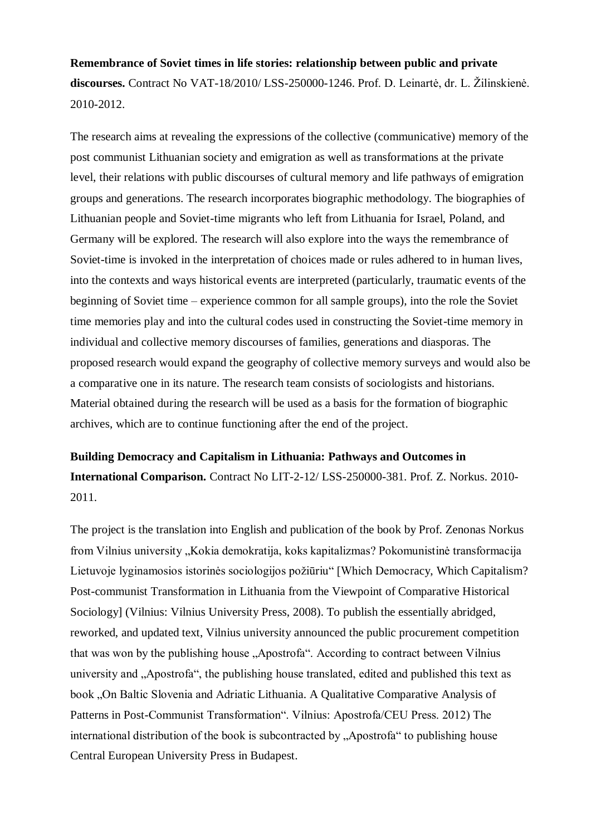**Remembrance of Soviet times in life stories: relationship between public and private**  discourses. Contract No VAT-18/2010/ LSS-250000-1246. Prof. D. Leinartė, dr. L. Žilinskienė. 2010-2012.

The research aims at revealing the expressions of the collective (communicative) memory of the post communist Lithuanian society and emigration as well as transformations at the private level, their relations with public discourses of cultural memory and life pathways of emigration groups and generations. The research incorporates biographic methodology. The biographies of Lithuanian people and Soviet-time migrants who left from Lithuania for Israel, Poland, and Germany will be explored. The research will also explore into the ways the remembrance of Soviet-time is invoked in the interpretation of choices made or rules adhered to in human lives, into the contexts and ways historical events are interpreted (particularly, traumatic events of the beginning of Soviet time – experience common for all sample groups), into the role the Soviet time memories play and into the cultural codes used in constructing the Soviet-time memory in individual and collective memory discourses of families, generations and diasporas. The proposed research would expand the geography of collective memory surveys and would also be a comparative one in its nature. The research team consists of sociologists and historians. Material obtained during the research will be used as a basis for the formation of biographic archives, which are to continue functioning after the end of the project.

**Building Democracy and Capitalism in Lithuania: Pathways and Outcomes in International Comparison.** Contract No LIT-2-12/ LSS-250000-381. Prof. Z. Norkus. 2010- 2011.

The project is the translation into English and publication of the book by Prof. Zenonas Norkus from Vilnius university "Kokia demokratija, koks kapitalizmas? Pokomunistinė transformacija Lietuvoje lyginamosios istorinės sociologijos požiūriu" [Which Democracy, Which Capitalism? Post-communist Transformation in Lithuania from the Viewpoint of Comparative Historical Sociology] (Vilnius: Vilnius University Press, 2008). To publish the essentially abridged, reworked, and updated text, Vilnius university announced the public procurement competition that was won by the publishing house "Apostrofa". According to contract between Vilnius university and "Apostrofa", the publishing house translated, edited and published this text as book "On Baltic Slovenia and Adriatic Lithuania. A Qualitative Comparative Analysis of Patterns in Post-Communist Transformation". Vilnius: Apostrofa/CEU Press. 2012) The international distribution of the book is subcontracted by "Apostrofa" to publishing house Central European University Press in Budapest.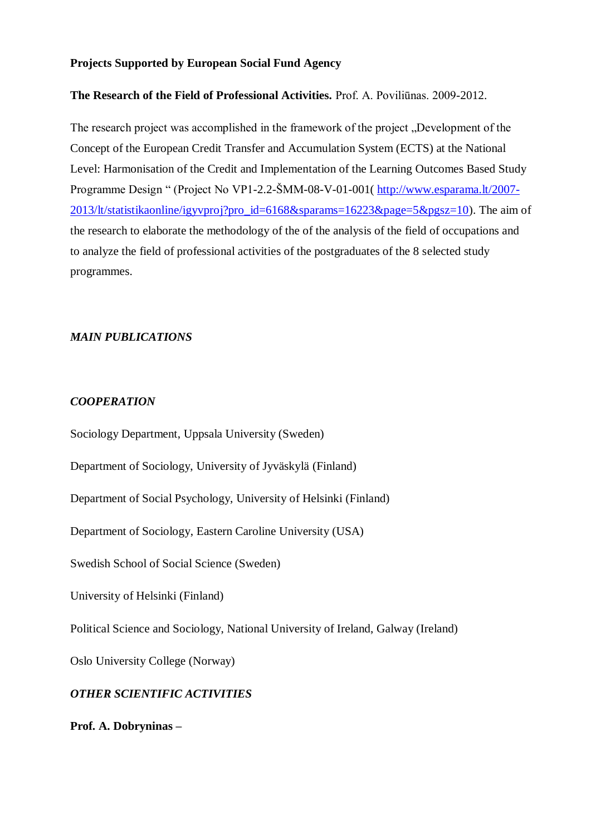#### **Projects Supported by European Social Fund Agency**

#### **The Research of the Field of Professional Activities.** Prof. A. Poviliūnas. 2009-2012.

The research project was accomplished in the framework of the project . Development of the Concept of the European Credit Transfer and Accumulation System (ECTS) at the National Level: Harmonisation of the Credit and Implementation of the Learning Outcomes Based Study Programme Design " (Project No VP1-2.2-ŠMM-08-V-01-001 ([http://www.esparama.lt/2007-](http://www.esparama.lt/2007-2013/lt/statistikaonline/igyvproj?pro_id=6168&sparams=16223&page=5&pgsz=10) [2013/lt/statistikaonline/igyvproj?pro\\_id=6168&sparams=16223&page=5&pgsz=10\)](http://www.esparama.lt/2007-2013/lt/statistikaonline/igyvproj?pro_id=6168&sparams=16223&page=5&pgsz=10). The aim of the research to elaborate the methodology of the of the analysis of the field of occupations and to analyze the field of professional activities of the postgraduates of the 8 selected study programmes.

#### *MAIN PUBLICATIONS*

#### *COOPERATION*

Sociology Department, Uppsala University (Sweden)

Department of Sociology, University of Jyväskylä (Finland)

Department of Social Psychology, University of Helsinki (Finland)

Department of Sociology, Eastern Caroline University (USA)

Swedish School of Social Science (Sweden)

University of Helsinki (Finland)

Political Science and Sociology, National University of Ireland, Galway (Ireland)

Oslo University College (Norway)

### *OTHER SCIENTIFIC ACTIVITIES*

**Prof. A. Dobryninas –**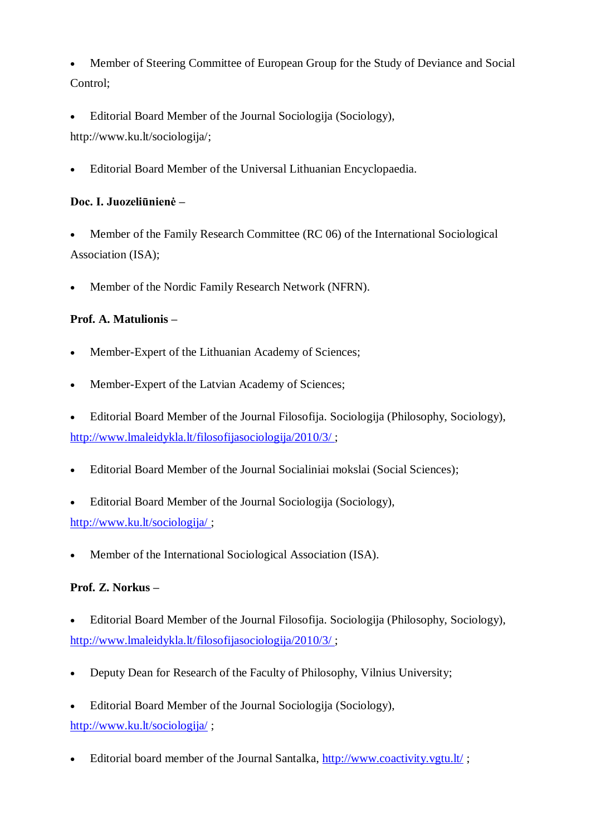Member of Steering Committee of European Group for the Study of Deviance and Social Control;

 Editorial Board Member of the Journal Sociologija (Sociology), [http://www.ku.lt/sociologija/;](http://www.ku.lt/sociologija/)

Editorial Board Member of the Universal Lithuanian Encyclopaedia.

# **Doc. I. Juozeliūnienė –**

 Member of the Family Research Committee (RC 06) of the International Sociological Association (ISA);

Member of the Nordic Family Research Network (NFRN).

# **Prof. A. Matulionis –**

- Member-Expert of the Lithuanian Academy of Sciences;
- Member-Expert of the Latvian Academy of Sciences;

 Editorial Board Member of the Journal Filosofija. Sociologija (Philosophy, Sociology), <http://www.lmaleidykla.lt/filosofijasociologija/2010/3/> ;

- Editorial Board Member of the Journal Socialiniai mokslai (Social Sciences);
- Editorial Board Member of the Journal Sociologija (Sociology), <http://www.ku.lt/sociologija/> ;
- Member of the International Sociological Association (ISA).

## **Prof. Z. Norkus –**

- Editorial Board Member of the Journal Filosofija. Sociologija (Philosophy, Sociology), <http://www.lmaleidykla.lt/filosofijasociologija/2010/3/> ;
- Deputy Dean for Research of the Faculty of Philosophy, Vilnius University;
- Editorial Board Member of the Journal Sociologija (Sociology), <http://www.ku.lt/sociologija/> ;
- Editorial board member of the Journal Santalka,<http://www.coactivity.vgtu.lt/>;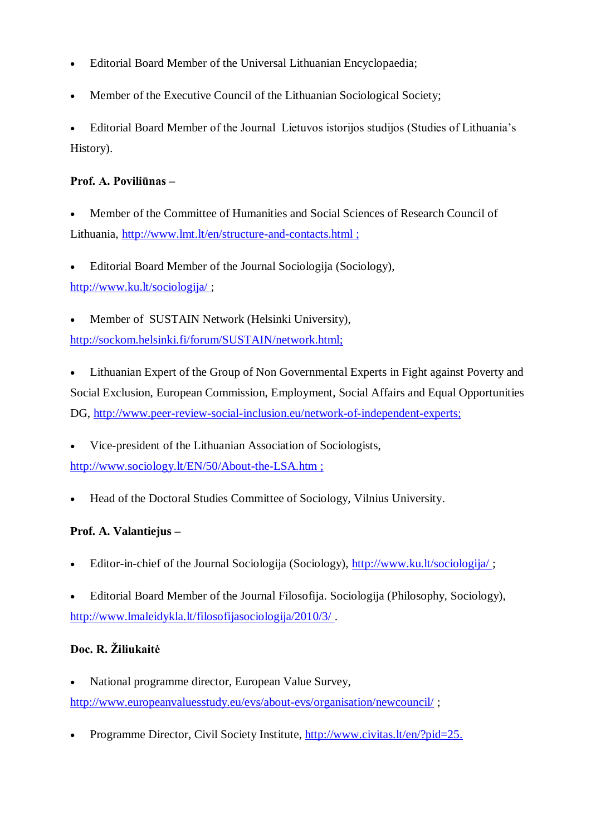- Editorial Board Member of the Universal Lithuanian Encyclopaedia;
- Member of the Executive Council of the Lithuanian Sociological Society;

• Editorial Board Member of the Journal Lietuvos istorijos studijos (Studies of Lithuania's History).

### **Prof. A. Poviliūnas –**

- Member of the Committee of Humanities and Social Sciences of Research Council of Lithuania,<http://www.lmt.lt/en/structure-and-contacts.html> ;
- Editorial Board Member of the Journal Sociologija (Sociology), <http://www.ku.lt/sociologija/> ;
- Member of SUSTAIN Network (Helsinki University),

[http://sockom.helsinki.fi/forum/SUSTAIN/network.html;](http://sockom.helsinki.fi/forum/SUSTAIN/network.html)

 Lithuanian Expert of the Group of Non Governmental Experts in Fight against Poverty and Social Exclusion, European Commission, Employment, Social Affairs and Equal Opportunities DG, [http://www.peer-review-social-inclusion.eu/network-of-independent-experts;](http://www.peer-review-social-inclusion.eu/network-of-independent-experts)

 Vice-president of the Lithuanian Association of Sociologists, <http://www.sociology.lt/EN/50/About-the-LSA.htm> ;

Head of the Doctoral Studies Committee of Sociology, Vilnius University.

## **Prof. A. Valantiejus –**

- Editor-in-chief of the Journal Sociologija (Sociology),<http://www.ku.lt/sociologija/> ;
- Editorial Board Member of the Journal Filosofija. Sociologija (Philosophy, Sociology), <http://www.lmaleidykla.lt/filosofijasociologija/2010/3/> .

# **Doc. R. Ţiliukaitė**

- National programme director, European Value Survey, <http://www.europeanvaluesstudy.eu/evs/about-evs/organisation/newcouncil/> ;
- Programme Director, Civil Society Institute, [http://www.civitas.lt/en/?pid=25.](http://www.civitas.lt/en/?pid=25)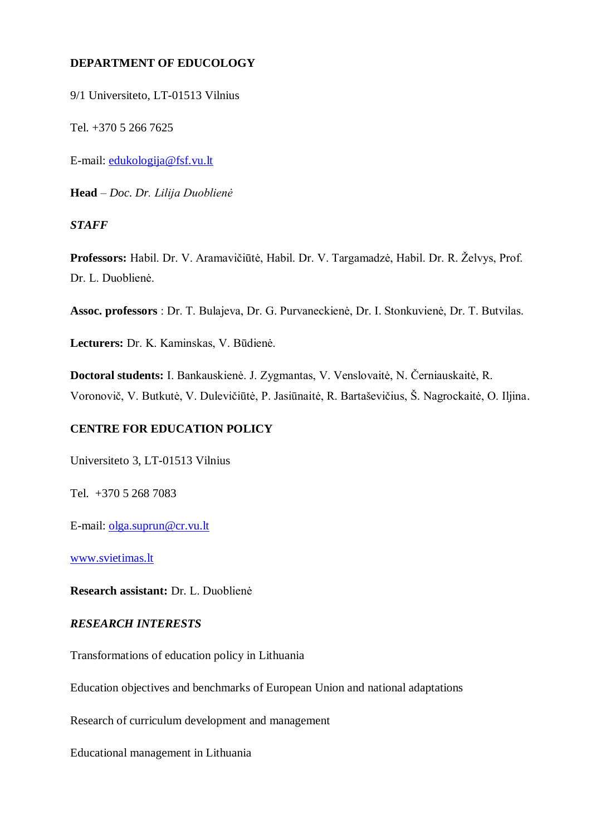### **DEPARTMENT OF EDUCOLOGY**

9/1 Universiteto, LT-01513 Vilnius

Tel. +370 5 266 7625

E-mail: [edukologija@fsf.vu.lt](mailto:edukologija@fsf.vu.lt)

**Head** – *Doc. Dr. Lilija Duoblienė*

*STAFF*

Professors: Habil. Dr. V. Aramavičiūtė, Habil. Dr. V. Targamadzė, Habil. Dr. R. Želvys, Prof. Dr. L. Duoblienė.

**Assoc. professors** : Dr. T. Bulajeva, Dr. G. Purvaneckienė, Dr. I. Stonkuvienė, Dr. T. Butvilas.

**Lecturers:** Dr. K. Kaminskas, V. Būdienė.

**Doctoral students:** I. Bankauskienė. J. Zygmantas, V. Venslovaitė, N. Černiauskaitė, R. Voronovič, V. Butkutė, V. Dulevičiūtė, P. Jasiūnaitė, R. Bartaševičius, Š. Nagrockaitė, O. Iljina.

#### **CENTRE FOR EDUCATION POLICY**

Universiteto 3, LT-01513 Vilnius

Tel. +370 5 268 7083

E-mail: [olga.suprun@cr.vu.lt](mailto:olga.suprun@cr.vu.lt)

[www.svietimas.lt](http://www.svietimas.lt/)

**Research assistant:** Dr. L. Duoblienė

#### *RESEARCH INTERESTS*

Transformations of education policy in Lithuania

Education objectives and benchmarks of European Union and national adaptations

Research of curriculum development and management

Educational management in Lithuania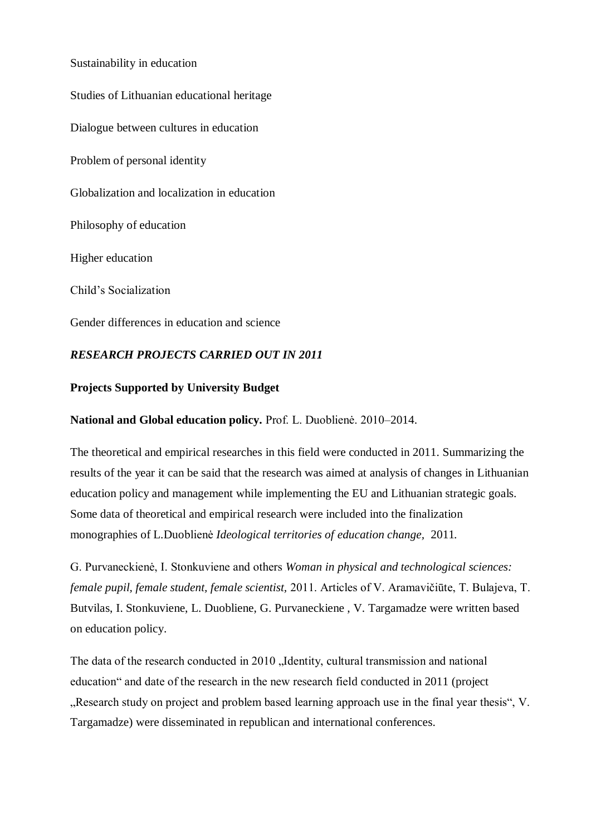Sustainability in education Studies of Lithuanian educational heritage Dialogue between cultures in education Problem of personal identity Globalization and localization in education Philosophy of education Higher education Child"s Socialization Gender differences in education and science

# *RESEARCH PROJECTS CARRIED OUT IN 2011*

### **Projects Supported by University Budget**

**National and Global education policy.** Prof. L. Duoblienė. 2010–2014.

The theoretical and empirical researches in this field were conducted in 2011. Summarizing the results of the year it can be said that the research was aimed at analysis of changes in Lithuanian education policy and management while implementing the EU and Lithuanian strategic goals. Some data of theoretical and empirical research were included into the finalization monographies of L.Duoblienė *Ideological territories of education change,* 2011*.*

G. Purvaneckienė, I. Stonkuviene and others *Woman in physical and technological sciences: female pupil, female student, female scientist,* 2011. Articles of V. Aramavičiūte, T. Bulajeva, T. Butvilas, I. Stonkuviene, L. Duobliene, G. Purvaneckiene , V. Targamadze were written based on education policy.

The data of the research conducted in 2010 "Identity, cultural transmission and national education" and date of the research in the new research field conducted in 2011 (project "Research study on project and problem based learning approach use in the final year thesis", V. Targamadze) were disseminated in republican and international conferences.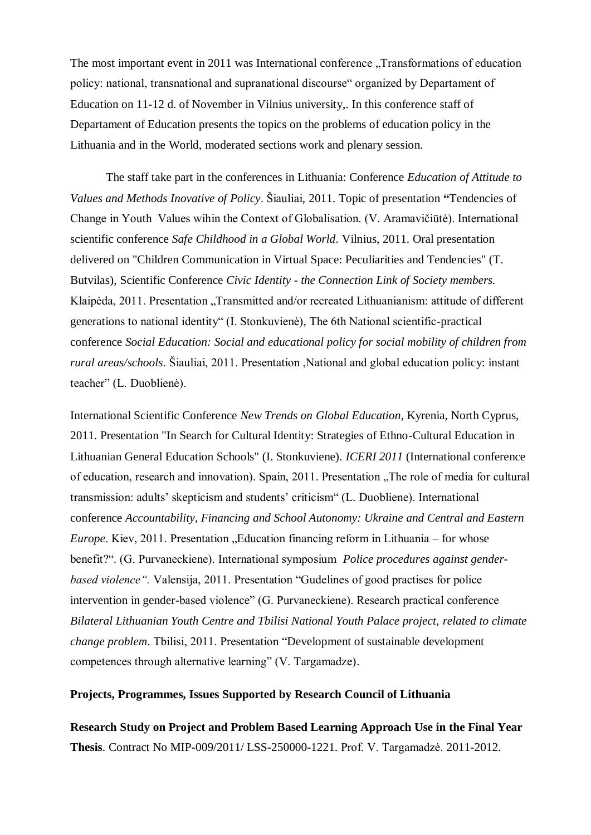The most important event in 2011 was International conference . Transformations of education policy: national, transnational and supranational discourse" organized by Departament of Education on 11-12 d. of November in Vilnius university,. In this conference staff of Departament of Education presents the topics on the problems of education policy in the Lithuania and in the World, moderated sections work and plenary session.

The staff take part in the conferences in Lithuania: Conference *Education of Attitude to Values and Methods Inovative of Policy*. Šiauliai, 2011. Topic of presentation **"**Tendencies of Change in Youth Values wihin the Context of Globalisation. (V. Aramavičiūtė). International scientific conference *Safe Childhood in a Global World*. Vilnius, 2011. Oral presentation delivered on "Children Communication in Virtual Space: Peculiarities and Tendencies" (T. Butvilas), Scientific Conference *Civic Identity - the Connection Link of Society members.*  Klaipėda, 2011. Presentation "Transmitted and/or recreated Lithuanianism: attitude of different generations to national identity" (I. Stonkuvienė), The 6th National scientific-practical conference *Social Education: Social and educational policy for social mobility of children from rural areas/schools*. Šiauliai, 2011. Presentation ,National and global education policy: instant teacher" (L. Duoblienė).

International Scientific Conference *New Trends on Global Education*, Kyrenia, North Cyprus, 2011. Presentation "In Search for Cultural Identity: Strategies of Ethno-Cultural Education in Lithuanian General Education Schools" (I. Stonkuviene). *ICERI 2011* (International conference of education, research and innovation). Spain, 2011. Presentation . The role of media for cultural transmission: adults" skepticism and students" criticism" (L. Duobliene). International conference *Accountability, Financing and School Autonomy: Ukraine and Central and Eastern Europe*. Kiev, 2011. Presentation . Education financing reform in Lithuania – for whose benefit?". (G. Purvaneckiene). International symposium *Police procedures against genderbased violence".* Valensija, 2011. Presentation "Gudelines of good practises for police intervention in gender-based violence" (G. Purvaneckiene). Research practical conference *Bilateral Lithuanian Youth Centre and Tbilisi National Youth Palace project, related to climate change problem*. Tbilisi, 2011. Presentation "Development of sustainable development competences through alternative learning" (V. Targamadze).

#### **Projects, Programmes, Issues Supported by Research Council of Lithuania**

**Research Study on Project and Problem Based Learning Approach Use in the Final Year Thesis**. Contract No MIP-009/2011/ LSS-250000-1221. Prof. V. Targamadzė. 2011-2012.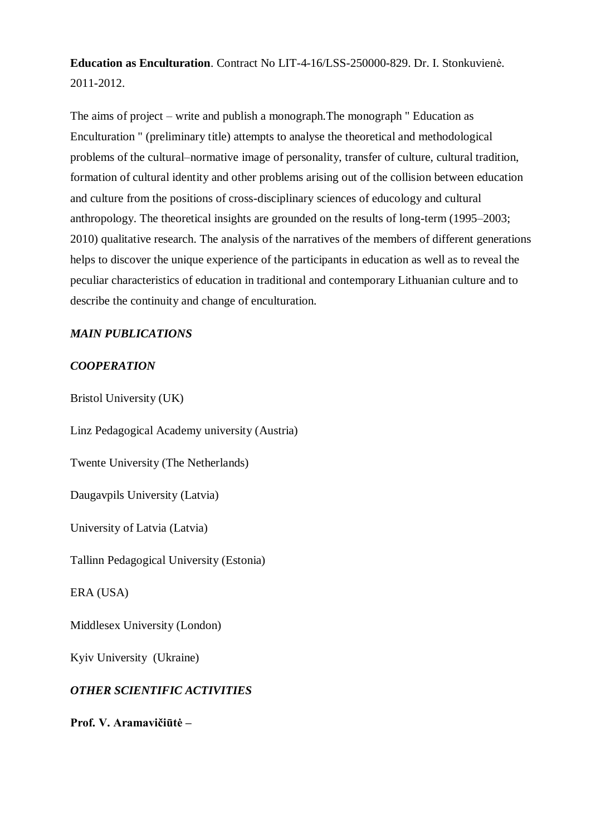**Education as Enculturation**. Contract No LIT-4-16/LSS-250000-829. Dr. I. Stonkuvienė. 2011-2012.

The aims of project – write and publish a monograph.The monograph " Education as Enculturation " (preliminary title) attempts to analyse the theoretical and methodological problems of the cultural–normative image of personality, transfer of culture, cultural tradition, formation of cultural identity and other problems arising out of the collision between education and culture from the positions of cross-disciplinary sciences of educology and cultural anthropology. The theoretical insights are grounded on the results of long-term (1995–2003; 2010) qualitative research. The analysis of the narratives of the members of different generations helps to discover the unique experience of the participants in education as well as to reveal the peculiar characteristics of education in traditional and contemporary Lithuanian culture and to describe the continuity and change of enculturation.

### *MAIN PUBLICATIONS*

### *COOPERATION*

Bristol University (UK)

Linz Pedagogical Academy university (Austria) Twente University (The Netherlands) Daugavpils University (Latvia) University of Latvia (Latvia) Tallinn Pedagogical University (Estonia) ERA (USA) Middlesex University (London) Kyiv University (Ukraine) *OTHER SCIENTIFIC ACTIVITIES* **Prof. V. Aramavičiūtė –**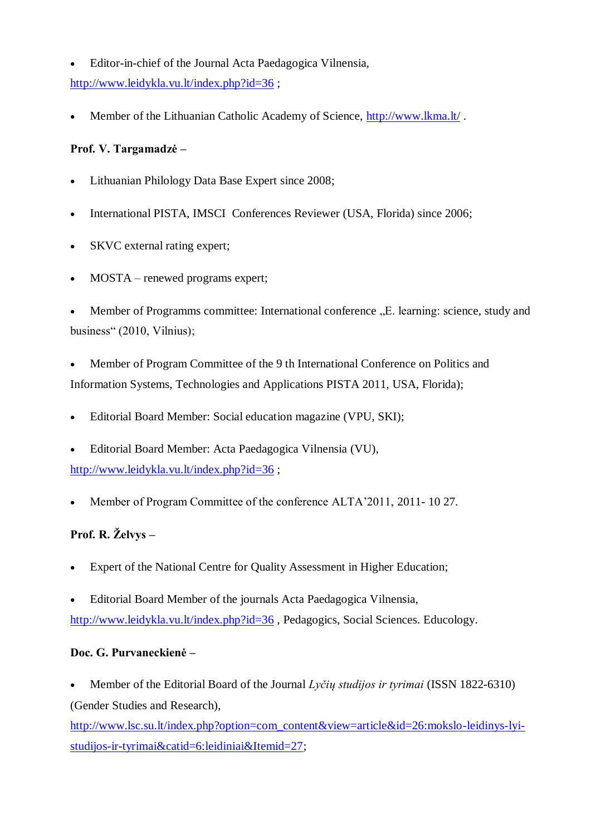Editor-in-chief of the Journal Acta Paedagogica Vilnensia, <http://www.leidykla.vu.lt/index.php?id=36> ;

Member of the Lithuanian Catholic Academy of Science, http:/[/www.lkma.lt/](http://www.lkma.lt/) .

## **Prof. V. Targamadzė –**

- Lithuanian Philology Data Base Expert since 2008;
- International PISTA, IMSCI Conferences Reviewer (USA, Florida) since 2006;
- SKVC external rating expert;
- MOSTA renewed programs expert:

Member of Programms committee: International conference . E. learning: science, study and business" (2010, Vilnius);

 Member of Program Committee of the 9 th International Conference on Politics and Information Systems, Technologies and Applications PISTA 2011, USA, Florida);

- Editorial Board Member: Social education magazine (VPU, SKI);
- Editorial Board Member: Acta Paedagogica Vilnensia (VU),

<http://www.leidykla.vu.lt/index.php?id=36> ;

• Member of Program Committee of the conference ALTA'2011, 2011- 10 27.

# Prof. R. Želvys –

- Expert of the National Centre for Quality Assessment in Higher Education;
- Editorial Board Member of the journals Acta Paedagogica Vilnensia,

<http://www.leidykla.vu.lt/index.php?id=36> , Pedagogics, Social Sciences. Educology.

## **Doc. G. Purvaneckienė –**

 Member of the Editorial Board of the Journal *Lyčių studijos ir tyrimai* (ISSN 1822-6310) (Gender Studies and Research),

[http://www.lsc.su.lt/index.php?option=com\\_content&view=article&id=26:mokslo-leidinys-lyi](http://www.lsc.su.lt/index.php?option=com_content&view=article&id=26:mokslo-leidinys-lyi-studijos-ir-tyrimai&catid=6:leidiniai&Itemid=27)[studijos-ir-tyrimai&catid=6:leidiniai&Itemid=27;](http://www.lsc.su.lt/index.php?option=com_content&view=article&id=26:mokslo-leidinys-lyi-studijos-ir-tyrimai&catid=6:leidiniai&Itemid=27)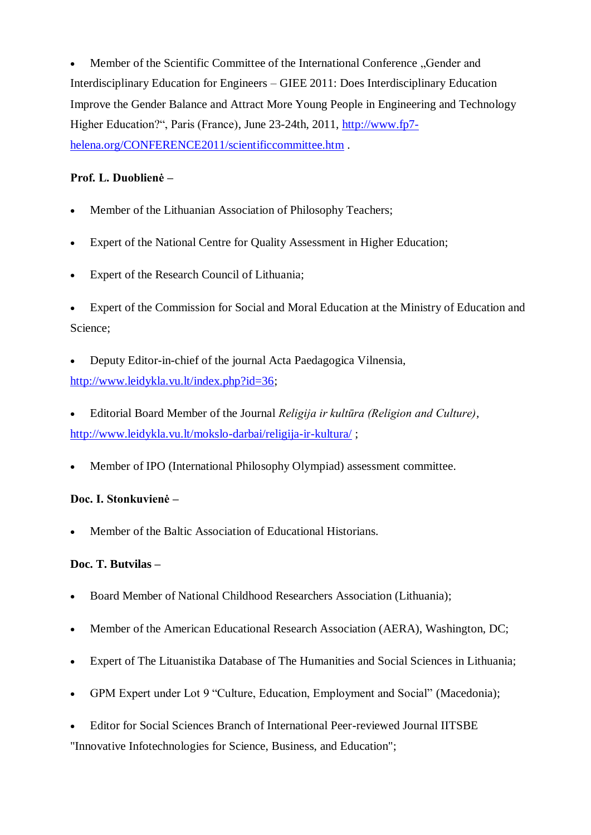Member of the Scientific Committee of the International Conference "Gender and Interdisciplinary Education for Engineers – GIEE 2011: Does Interdisciplinary Education Improve the Gender Balance and Attract More Young People in Engineering and Technology Higher Education?", Paris (France), June 23-24th, 2011, [http://www.fp7](http://www.fp7-helena.org/CONFERENCE2011/scientificcommittee.htm) [helena.org/CONFERENCE2011/scientificcommittee.htm](http://www.fp7-helena.org/CONFERENCE2011/scientificcommittee.htm) .

## **Prof. L. Duoblienė –**

- Member of the Lithuanian Association of Philosophy Teachers;
- Expert of the National Centre for Quality Assessment in Higher Education;
- Expert of the Research Council of Lithuania;

 Expert of the Commission for Social and Moral Education at the Ministry of Education and Science;

- Deputy Editor-in-chief of the journal Acta Paedagogica Vilnensia, [http://www.leidykla.vu.lt/index.php?id=36;](http://www.leidykla.vu.lt/index.php?id=36)
- Editorial Board Member of the Journal *Religija ir kultūra (Religion and Culture),* <http://www.leidykla.vu.lt/mokslo-darbai/religija-ir-kultura/> ;
- Member of IPO (International Philosophy Olympiad) assessment committee.

### **Doc. I. Stonkuvienė –**

Member of the Baltic Association of Educational Historians.

#### **Doc. T. Butvilas –**

- Board Member of National Childhood Researchers Association (Lithuania);
- Member of the American Educational Research Association (AERA), Washington, DC;
- Expert of The Lituanistika Database of The Humanities and Social Sciences in Lithuania;
- GPM Expert under Lot 9 "Culture, Education, Employment and Social" (Macedonia);
- Editor for Social Sciences Branch of International Peer-reviewed Journal IITSBE "Innovative Infotechnologies for Science, Business, and Education";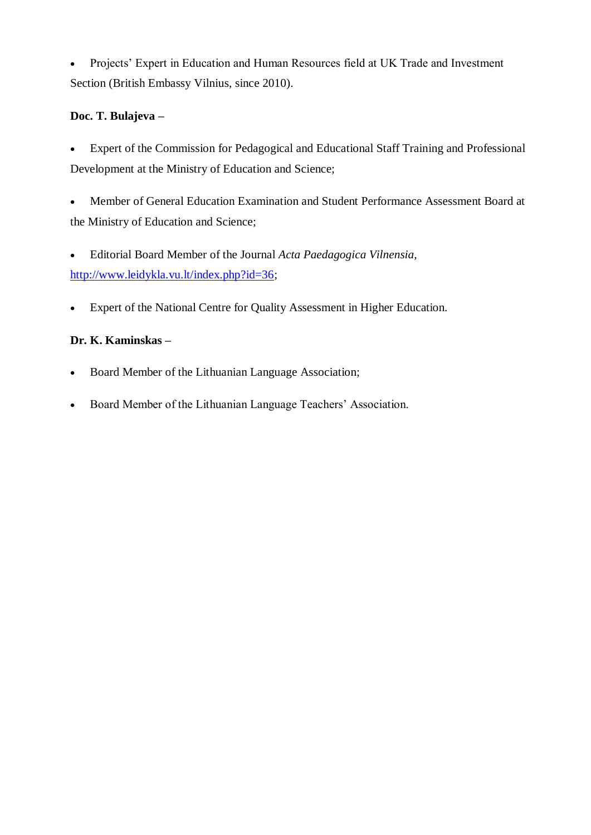Projects" Expert in Education and Human Resources field at UK Trade and Investment Section (British Embassy Vilnius, since 2010).

### **Doc. T. Bulajeva –**

- Expert of the Commission for Pedagogical and Educational Staff Training and Professional Development at the Ministry of Education and Science;
- Member of General Education Examination and Student Performance Assessment Board at the Ministry of Education and Science;
- Editorial Board Member of the Journal *Acta Paedagogica Vilnensia,*  [http://www.leidykla.vu.lt/index.php?id=36;](http://www.leidykla.vu.lt/index.php?id=36)
- Expert of the National Centre for Quality Assessment in Higher Education.

### **Dr. K. Kaminskas –**

- Board Member of the Lithuanian Language Association;
- Board Member of the Lithuanian Language Teachers' Association.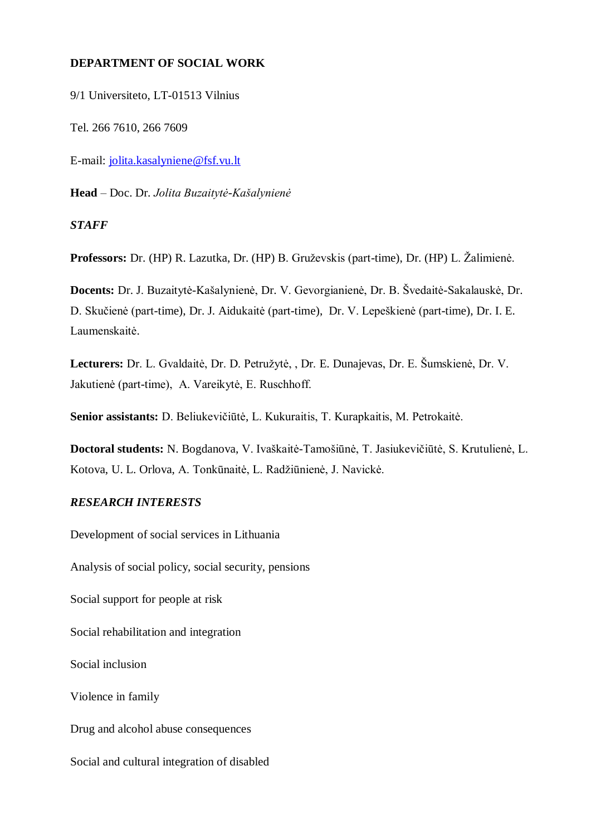#### **DEPARTMENT OF SOCIAL WORK**

9/1 Universiteto, LT-01513 Vilnius

Tel. 266 7610, 266 7609

E-mail: [jolita.kasalyniene@fsf.vu.lt](mailto:jolita.kasalyniene@fsf.vu.lt)

**Head** – Doc. Dr. *Jolita Buzaitytė-Kašalynienė*

*STAFF*

Professors: Dr. (HP) R. Lazutka, Dr. (HP) B. Gruževskis (part-time), Dr. (HP) L. Žalimienė.

**Docents:** Dr. J. Buzaitytė-Kašalynienė, Dr. V. Gevorgianienė, Dr. B. Švedaitė-Sakalauskė, Dr. D. Skučienė (part-time), Dr. J. Aidukaitė (part-time), Dr. V. Lepeškienė (part-time), Dr. I. E. Laumenskaitė.

Lecturers: Dr. L. Gvaldaitė, Dr. D. Petružytė, , Dr. E. Dunajevas, Dr. E. Šumskienė, Dr. V. Jakutienė (part-time), A. Vareikytė, E. Ruschhoff.

**Senior assistants:** D. Beliukevičiūtė, L. Kukuraitis, T. Kurapkaitis, M. Petrokaitė.

**Doctoral students:** N. Bogdanova, V. Ivaškaitė-Tamošiūnė, T. Jasiukevičiūtė, S. Krutulienė, L. Kotova, U. L. Orlova, A. Tonkūnaitė, L. Radžiūnienė, J. Navickė.

#### *RESEARCH INTERESTS*

Development of social services in Lithuania

Analysis of social policy, social security, pensions

Social support for people at risk

Social rehabilitation and integration

Social inclusion

Violence in family

Drug and alcohol abuse consequences

Social and cultural integration of disabled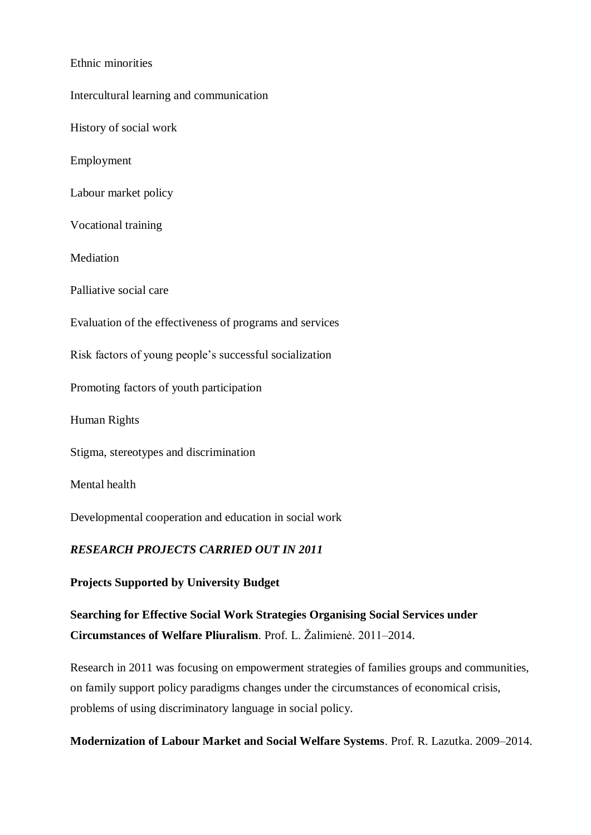#### Ethnic minorities

Intercultural learning and communication History of social work Employment Labour market policy Vocational training Mediation Palliative social care Evaluation of the effectiveness of programs and services Risk factors of young people"s successful socialization Promoting factors of youth participation Human Rights Stigma, stereotypes and discrimination Mental health Developmental cooperation and education in social work *RESEARCH PROJECTS CARRIED OUT IN 2011*

**Projects Supported by University Budget**

**Searching for Effective Social Work Strategies Organising Social Services under Circumstances of Welfare Pliuralism.** Prof. L. Žalimienė. 2011–2014.

Research in 2011 was focusing on empowerment strategies of families groups and communities, on family support policy paradigms changes under the circumstances of economical crisis, problems of using discriminatory language in social policy.

**Modernization of Labour Market and Social Welfare Systems**. Prof. R. Lazutka. 2009–2014.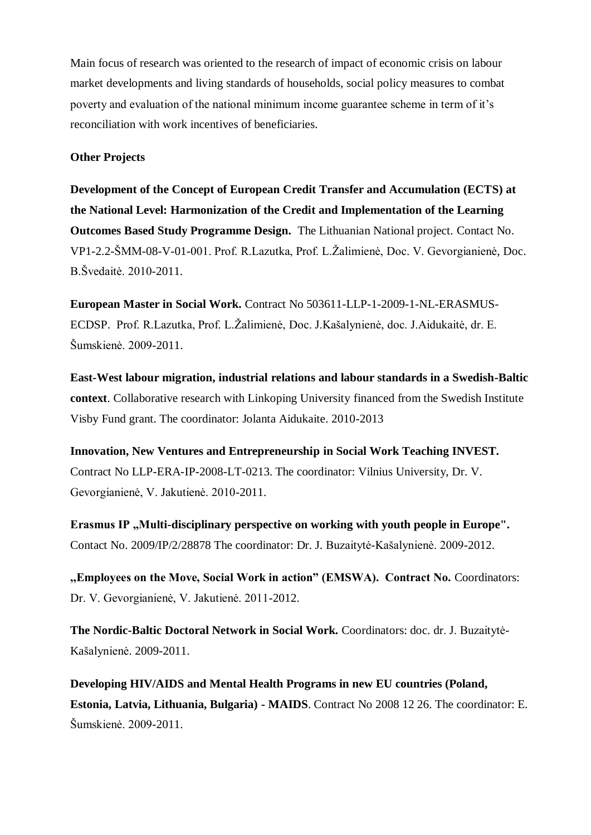Main focus of research was oriented to the research of impact of economic crisis on labour market developments and living standards of households, social policy measures to combat poverty and evaluation of the national minimum income guarantee scheme in term of it"s reconciliation with work incentives of beneficiaries.

#### **Other Projects**

**Development of the Concept of European Credit Transfer and Accumulation (ECTS) at the National Level: Harmonization of the Credit and Implementation of the Learning Outcomes Based Study Programme Design.** The Lithuanian National project. Contact No. VP1-2.2-ŠMM-08-V-01-001. Prof. R.Lazutka, Prof. L.Žalimienė, Doc. V. Gevorgianienė, Doc. B.Švedaitė. 2010-2011.

**European Master in Social Work.** Contract No 503611-LLP-1-2009-1-NL-ERASMUS-ECDSP. Prof. R.Lazutka, Prof. L.Žalimienė, Doc. J.Kašalynienė, doc. J.Aidukaitė, dr. E. Šumskienė. 2009-2011.

**East-West labour migration, industrial relations and labour standards in a Swedish-Baltic context**. Collaborative research with Linkoping University financed from the Swedish Institute Visby Fund grant. The coordinator: Jolanta Aidukaite. 2010-2013

**Innovation, New Ventures and Entrepreneurship in Social Work Teaching INVEST.**  Contract No LLP-ERA-IP-2008-LT-0213. The coordinator: Vilnius University, Dr. V. Gevorgianienė, V. Jakutienė. 2010-2011.

**Erasmus IP**, Multi-disciplinary perspective on working with youth people in Europe". Contact No. 2009/IP/2/28878 The coordinator: Dr. J. Buzaitytė-Kašalynienė. 2009-2012.

**,,Employees on the Move, Social Work in action" (EMSWA). Contract No.** Coordinators: Dr. V. Gevorgianienė, V. Jakutienė. 2011-2012.

**The Nordic-Baltic Doctoral Network in Social Work.** Coordinators: doc. dr. J. Buzaitytė-Kašalynienė. 2009-2011.

**Developing HIV/AIDS and Mental Health Programs in new EU countries (Poland, Estonia, Latvia, Lithuania, Bulgaria) - MAIDS**. Contract No 2008 12 26. The coordinator: E. Šumskienė. 2009-2011.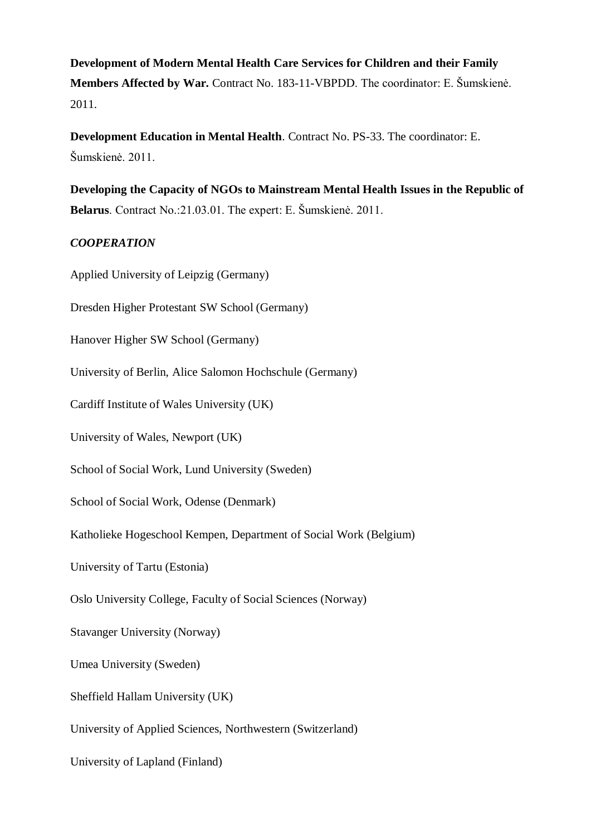**Development of Modern Mental Health Care Services for Children and their Family Members Affected by War.** Contract No. 183-11-VBPDD. The coordinator: E. Šumskienė. 2011.

**Development Education in Mental Health**. Contract No. PS-33. The coordinator: E. Šumskienė. 2011.

**Developing the Capacity of NGOs to Mainstream Mental Health Issues in the Republic of Belarus**. Contract No.:21.03.01. The expert: E. Šumskienė. 2011.

## *COOPERATION*

Applied University of Leipzig (Germany)

Dresden Higher Protestant SW School (Germany)

Hanover Higher SW School (Germany)

University of Berlin, Alice Salomon Hochschule (Germany)

Cardiff Institute of Wales University (UK)

University of Wales, Newport (UK)

School of Social Work, Lund University (Sweden)

School of Social Work, Odense (Denmark)

Katholieke Hogeschool Kempen, Department of Social Work (Belgium)

University of Tartu (Estonia)

Oslo University College, Faculty of Social Sciences (Norway)

Stavanger University (Norway)

Umea University (Sweden)

Sheffield Hallam University (UK)

University of Applied Sciences, Northwestern (Switzerland)

University of Lapland (Finland)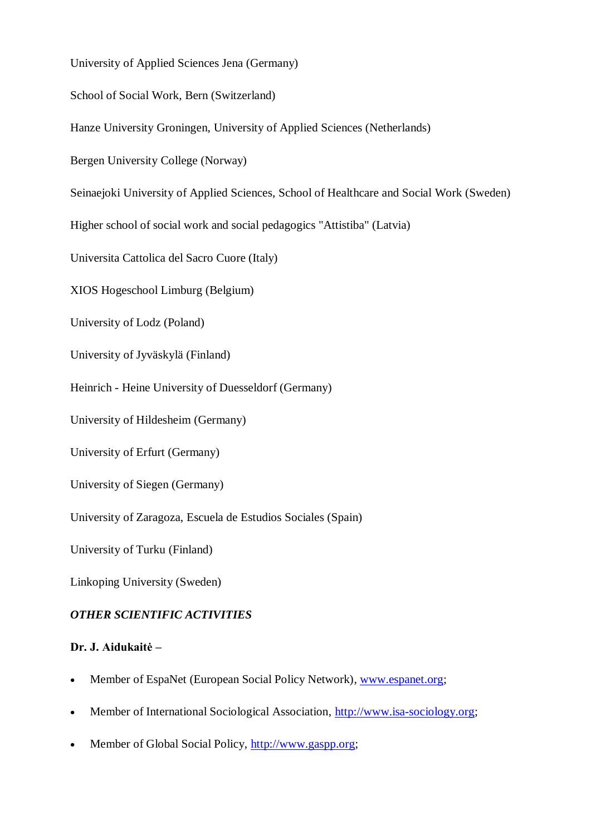University of Applied Sciences Jena (Germany)

School of Social Work, Bern (Switzerland)

Hanze University Groningen, University of Applied Sciences (Netherlands)

Bergen University College (Norway)

Seinaejoki University of Applied Sciences, School of Healthcare and Social Work (Sweden)

Higher school of social work and social pedagogics "Attistiba" (Latvia)

Universita Cattolica del Sacro Cuore (Italy)

XIOS Hogeschool Limburg (Belgium)

University of Lodz (Poland)

University of Jyväskylä (Finland)

Heinrich - Heine University of Duesseldorf (Germany)

University of Hildesheim (Germany)

University of Erfurt (Germany)

University of Siegen (Germany)

University of Zaragoza, Escuela de Estudios Sociales (Spain)

University of Turku (Finland)

Linkoping University (Sweden)

### *OTHER SCIENTIFIC ACTIVITIES*

### **Dr. J. Aidukaitė –**

- Member of EspaNet (European Social Policy Network), [www.espanet.org;](http://www.espanet.org/)
- Member of International Sociological Association, http://www.isa-sociology.org;
- Member of Global Social Policy, http://www.gaspp.org;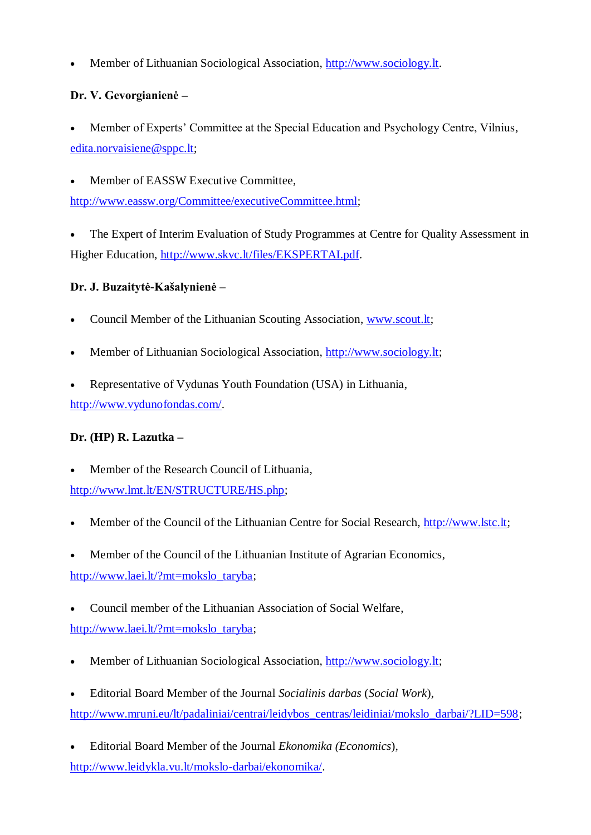Member of Lithuanian Sociological Association, http://www.sociology.lt.

# **Dr. V. Gevorgianienė –**

 Member of Experts" Committee at the Special Education and Psychology Centre, Vilnius, [edita.norvaisiene@sppc.lt;](mailto:edita.norvaisiene@sppc.lt)

Member of EASSW Executive Committee,

[http://www.eassw.org/Committee/executiveCommittee.html;](http://www.eassw.org/Committee/executiveCommittee.html)

 The Expert of Interim Evaluation of Study Programmes at Centre for Quality Assessment in Higher Education, [http://www.skvc.lt/files/EKSPERTAI.pdf.](http://www.skvc.lt/files/EKSPERTAI.pdf)

# **Dr. J. Buzaitytė-Kašalynienė –**

- Council Member of the Lithuanian Scouting Association, www.scout.lt;
- Member of Lithuanian Sociological Association, http://www.sociology.lt;
- Representative of Vydunas Youth Foundation (USA) in Lithuania, [http://www.vydunofondas.com/.](http://www.vydunofondas.com/)

# **Dr. (HP) R. Lazutka –**

- Member of the Research Council of Lithuania, [http://www.lmt.lt/EN/STRUCTURE/HS.php;](http://www.lmt.lt/EN/STRUCTURE/HS.php)
- Member of the Council of the Lithuanian Centre for Social Research, [http://www.lstc.lt;](http://www.lstc.lt/)
- Member of the Council of the Lithuanian Institute of Agrarian Economics, [http://www.laei.lt/?mt=mokslo\\_taryba;](http://www.laei.lt/?mt=mokslo_taryba)
- Council member of the Lithuanian Association of Social Welfare, [http://www.laei.lt/?mt=mokslo\\_taryba;](http://www.laei.lt/?mt=mokslo_taryba)
- Member of Lithuanian Sociological Association, [http://www.sociology.lt;](http://www.sociology.lt/)
- Editorial Board Member of the Journal *Socialinis darbas* (*Social Work*), [http://www.mruni.eu/lt/padaliniai/centrai/leidybos\\_centras/leidiniai/mokslo\\_darbai/?LID=598;](http://www.mruni.eu/lt/padaliniai/centrai/leidybos_centras/leidiniai/mokslo_darbai/?LID=598)
- Editorial Board Member of the Journal *Ekonomika (Economics*), http://www.leidykla.vu.lt/mokslo-darbai/ekonomika/.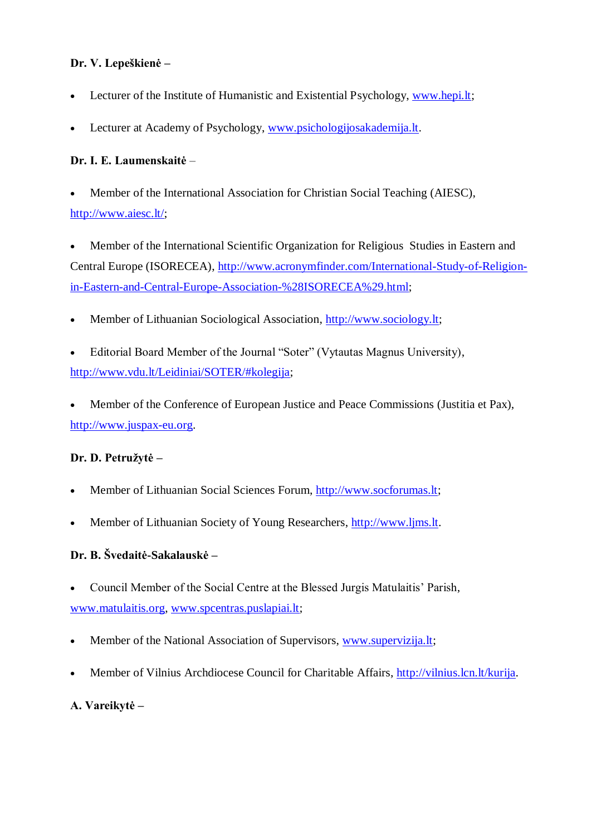## **Dr. V. Lepeškienė –**

- Lecturer of the Institute of Humanistic and Existential Psychology, [www.hepi.lt;](http://www.hepi.lt/)
- Lecturer at Academy of Psychology, [www.psichologijosakademija.lt.](http://www.psichologijosakademija.lt/)

## **Dr. I. E. Laumenskaitė** –

- Member of the International Association for Christian Social Teaching (AIESC), [http://www.aiesc.lt/;](http://www.aiesc.lt/)
- Member of the International Scientific Organization for Religious Studies in Eastern and Central Europe (ISORECEA), [http://www.acronymfinder.com/International-Study-of-Religion](http://www.acronymfinder.com/International-Study-of-Religion-in-Eastern-and-Central-Europe-Association-%28ISORECEA%29.html)[in-Eastern-and-Central-Europe-Association-%28ISORECEA%29.html;](http://www.acronymfinder.com/International-Study-of-Religion-in-Eastern-and-Central-Europe-Association-%28ISORECEA%29.html)
- Member of Lithuanian Sociological Association, [http://www.sociology.lt;](http://www.sociology.lt/)
- Editorial Board Member of the Journal "Soter" (Vytautas Magnus University), [http://www.vdu.lt/Leidiniai/SOTER/#kolegija;](http://www.vdu.lt/Leidiniai/SOTER/#kolegija)

 Member of the Conference of European Justice and Peace Commissions (Justitia et Pax), http://www.juspax-eu.org.

# **Dr. D. Petruţytė –**

- Member of Lithuanian Social Sciences Forum, [http://www.socforumas.lt;](http://www.socforumas.lt/)
- Member of Lithuanian Society of Young Researchers, [http://www.ljms.lt.](http://www.ljms.lt/)

# **Dr. B. Švedaitė-Sakalauskė –**

Council Member of the Social Centre at the Blessed Jurgis Matulaitis" Parish,

[www.matulaitis.org,](http://www.matulaitis.org/) [www.spcentras.puslapiai.lt;](http://www.spcentras.puslapiai.lt/)

- Member of the National Association of Supervisors, [www.supervizija.lt;](http://www.supervizija.lt/)
- Member of Vilnius Archdiocese Council for Charitable Affairs, http://vilnius.lcn.lt/kurija.

## **A. Vareikytė –**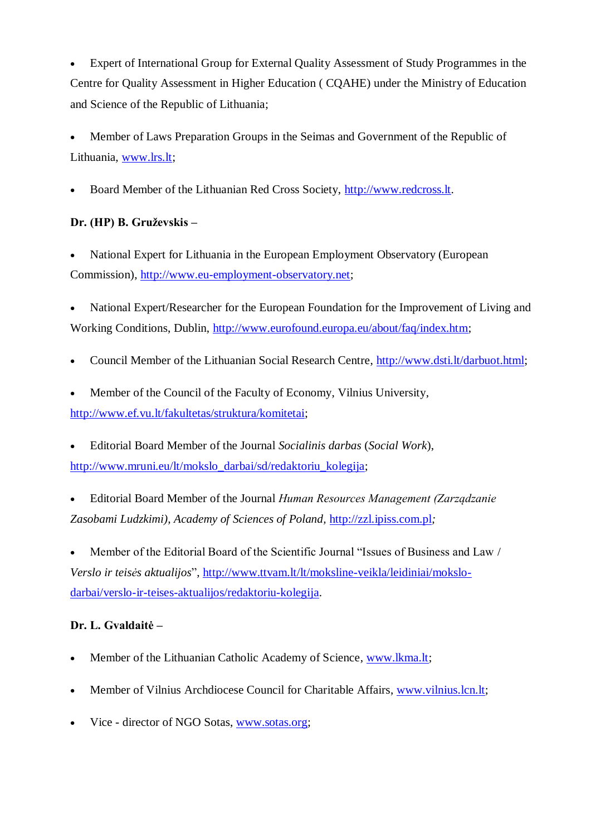Expert of International Group for External Quality Assessment of Study Programmes in the Centre for Quality Assessment in Higher Education ( CQAHE) under the Ministry of Education and Science of the Republic of Lithuania;

 Member of Laws Preparation Groups in the Seimas and Government of the Republic of Lithuania, [www.lrs.lt;](http://www.lrs.lt/)

• Board Member of the Lithuanian Red Cross Society, http://www.redcross.lt.

# Dr. (HP) B. Gruževskis –

 National Expert for Lithuania in the European Employment Observatory (European Commission), http://www.eu-employment-observatory.net;

 National Expert/Researcher for the European Foundation for the Improvement of Living and Working Conditions, Dublin, [http://www.eurofound.europa.eu/about/faq/index.htm;](http://www.eurofound.europa.eu/about/faq/index.htm)

- Council Member of the Lithuanian Social Research Centre, [http://www.dsti.lt/darbuot.html;](http://www.dsti.lt/darbuot.html)
- Member of the Council of the Faculty of Economy, Vilnius University, http://www.ef.vu.lt/fakultetas/struktura/komitetai;

 Editorial Board Member of the Journal *Socialinis darbas* (*Social Work*), http://www.mruni.eu/lt/mokslo\_darbai/sd/redaktoriu\_kolegija;

 Editorial Board Member of the Journal *Human Resources Management (Zarządzanie Zasobami Ludzkimi), Academy of Sciences of Poland,* http://zzl.ipiss.com.pl*;*

 Member of the Editorial Board of the Scientific Journal "Issues of Business and Law / *Verslo ir teisės aktualijos*", http://www.ttvam.lt/lt/moksline-veikla/leidiniai/mokslodarbai/verslo-ir-teises-aktualijos/redaktoriu-kolegija.

## **Dr. L. Gvaldaitė –**

- Member of the Lithuanian Catholic Academy of Science, [www.lkma.lt;](http://www.lkma.lt/)
- Member of Vilnius Archdiocese Council for Charitable Affairs, [www.vilnius.lcn.lt;](http://www.vilnius.lcn.lt/)
- Vice director of NGO Sotas, [www.sotas.org;](http://www.sotas.org/)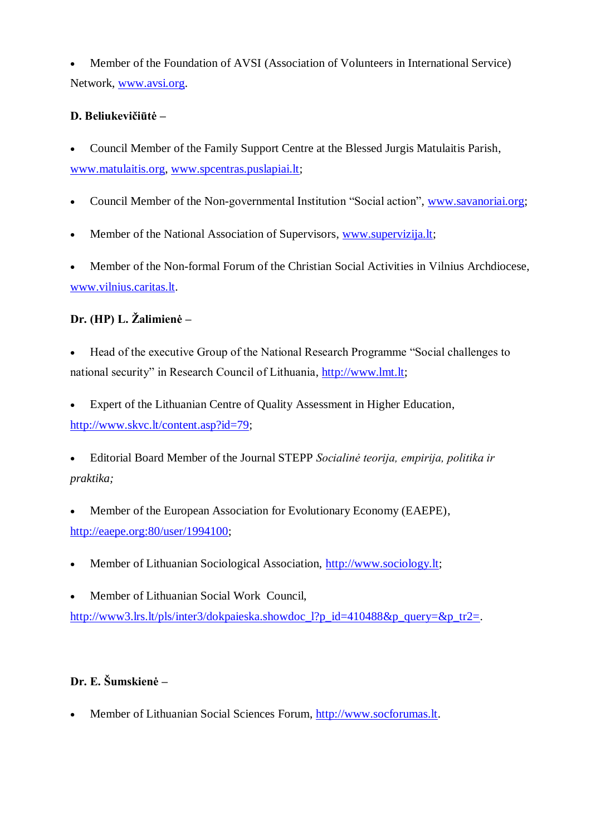Member of the Foundation of AVSI (Association of Volunteers in International Service) Network, [www.avsi.org.](http://www.avsi.org/)

## **D. Beliukevičiūtė –**

 Council Member of the Family Support Centre at the Blessed Jurgis Matulaitis Parish, [www.matulaitis.org,](http://www.matulaitis.org/) [www.spcentras.puslapiai.lt;](http://www.spcentras.puslapiai.lt/)

- Council Member of the Non-governmental Institution "Social action", [www.savanoriai.org;](http://www.savanoriai.org/)
- Member of the National Association of Supervisors, [www.supervizija.lt;](http://www.supervizija.lt/)

 Member of the Non-formal Forum of the Christian Social Activities in Vilnius Archdiocese, [www.vilnius.caritas.lt.](http://www.vilnius.caritas.lt/)

# Dr. (HP) L. Žalimienė –

 Head of the executive Group of the National Research Programme "Social challenges to national security" in Research Council of Lithuania, http://www.lmt.lt;

 Expert of the Lithuanian Centre of Quality Assessment in Higher Education, [http://www.skvc.lt/content.asp?id=79;](http://www.skvc.lt/content.asp?id=79)

 Editorial Board Member of the Journal STEPP *Socialinė teorija, empirija, politika ir praktika;*

 Member of the European Association for Evolutionary Economy (EAEPE), [http://eaepe.org:80/user/1994100;](http://eaepe.org/user/1994100)

- Member of Lithuanian Sociological Association, [http://www.sociology.lt;](http://www.sociology.lt/)
- Member of Lithuanian Social Work Council,

[http://www3.lrs.lt/pls/inter3/dokpaieska.showdoc\\_l?p\\_id=410488&p\\_query=&p\\_tr2=.](http://www3.lrs.lt/pls/inter3/dokpaieska.showdoc_l?p_id=410488&p_query=&p_tr2=)

# **Dr. E. Šumskienė –**

Member of Lithuanian Social Sciences Forum, [http://www.socforumas.lt.](http://www.socforumas.lt/)